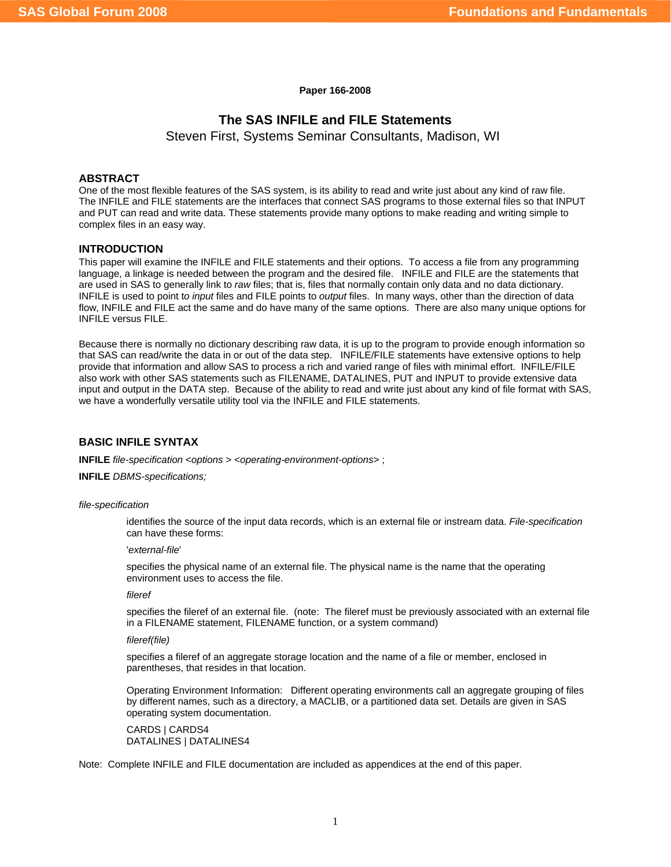**Paper 166-2008** 

# **The SAS INFILE and FILE Statements**

Steven First, Systems Seminar Consultants, Madison, WI

## **ABSTRACT**

One of the most flexible features of the SAS system, is its ability to read and write just about any kind of raw file. The INFILE and FILE statements are the interfaces that connect SAS programs to those external files so that INPUT and PUT can read and write data. These statements provide many options to make reading and writing simple to complex files in an easy way.

## **INTRODUCTION**

This paper will examine the INFILE and FILE statements and their options. To access a file from any programming language, a linkage is needed between the program and the desired file. INFILE and FILE are the statements that are used in SAS to generally link to *raw* files; that is, files that normally contain only data and no data dictionary. INFILE is used to point t*o input* files and FILE points to *output* files. In many ways, other than the direction of data flow, INFILE and FILE act the same and do have many of the same options. There are also many unique options for INFILE versus FILE.

Because there is normally no dictionary describing raw data, it is up to the program to provide enough information so that SAS can read/write the data in or out of the data step. INFILE/FILE statements have extensive options to help provide that information and allow SAS to process a rich and varied range of files with minimal effort. INFILE/FILE also work with other SAS statements such as FILENAME, DATALINES, PUT and INPUT to provide extensive data input and output in the DATA step. Because of the ability to read and write just about any kind of file format with SAS, we have a wonderfully versatile utility tool via the INFILE and FILE statements.

## **BASIC INFILE SYNTAX**

**INFILE** *file-specification* <*options* > <*operating-environment-options*> ;

**INFILE** *DBMS-specifications;* 

#### *file-specification*

identifies the source of the input data records, which is an external file or instream data. *File-specification* can have these forms:

'*external-file*'

specifies the physical name of an external file. The physical name is the name that the operating environment uses to access the file.

### *fileref*

specifies the fileref of an external file. (note: The fileref must be previously associated with an external file in a FILENAME statement, FILENAME function, or a system command)

### *fileref(file)*

specifies a fileref of an aggregate storage location and the name of a file or member, enclosed in parentheses, that resides in that location.

Operating Environment Information: Different operating environments call an aggregate grouping of files by different names, such as a directory, a MACLIB, or a partitioned data set. Details are given in SAS operating system documentation.

CARDS | CARDS4 DATALINES | DATALINES4

Note: Complete INFILE and FILE documentation are included as appendices at the end of this paper.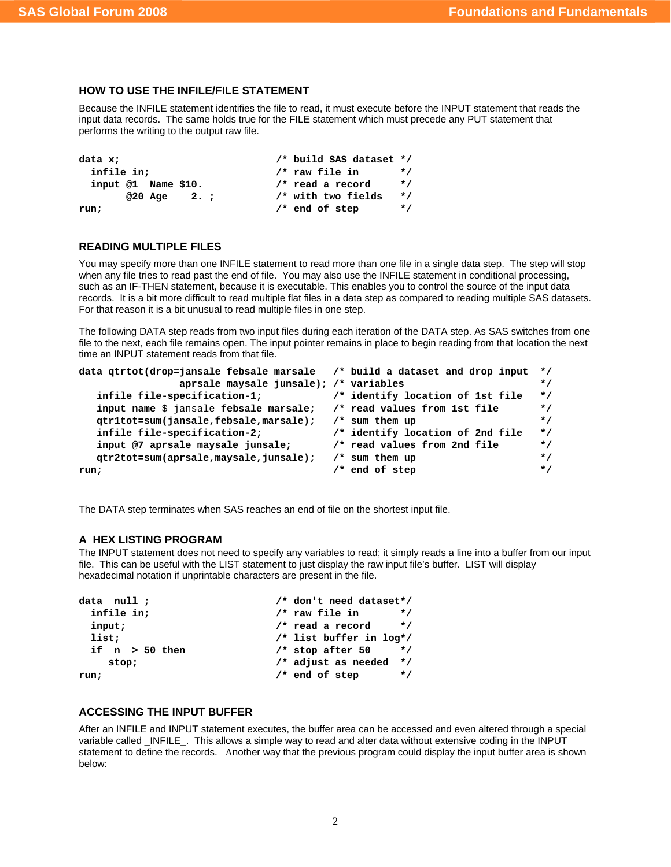## **HOW TO USE THE INFILE/FILE STATEMENT**

Because the INFILE statement identifies the file to read, it must execute before the INPUT statement that reads the input data records. The same holds true for the FILE statement which must precede any PUT statement that performs the writing to the output raw file.

```
data x;<br>
infile in:<br>
/* raw file in */<br>
/* raw file in */
                         /* raw file in * input @1 Name $10. /* read a record */ 
      @20 Age 2. ; /* with two fields */ 
run; /* end of step */
```
## **READING MULTIPLE FILES**

You may specify more than one INFILE statement to read more than one file in a single data step. The step will stop when any file tries to read past the end of file. You may also use the INFILE statement in conditional processing, such as an IF-THEN statement, because it is executable. This enables you to control the source of the input data records. It is a bit more difficult to read multiple flat files in a data step as compared to reading multiple SAS datasets. For that reason it is a bit unusual to read multiple files in one step.

The following DATA step reads from two input files during each iteration of the DATA step. As SAS switches from one file to the next, each file remains open. The input pointer remains in place to begin reading from that location the next time an INPUT statement reads from that file.

```
data qtrtot(drop=jansale febsale marsale /* build a dataset and drop input */ 
              aprsale maysale junsale); /* variables */ 
   infile file-specification-1; /* identify location of 1st file */ 
   input name $ jansale febsale marsale; /* read values from 1st file */ 
   qtr1tot=sum(jansale,febsale,marsale); /* sum them up */ 
   infile file-specification-2; /* identify location of 2nd file */ 
   input @7 aprsale maysale junsale; /* read values from 2nd file */ 
   qtr2tot=sum(aprsale,maysale,junsale); /* sum them up */ 
run; /* end of step */
```
The DATA step terminates when SAS reaches an end of file on the shortest input file.

### **A HEX LISTING PROGRAM**

The INPUT statement does not need to specify any variables to read; it simply reads a line into a buffer from our input file. This can be useful with the LIST statement to just display the raw input file's buffer. LIST will display hexadecimal notation if unprintable characters are present in the file.

| data null;       | /* don't need dataset*/          |
|------------------|----------------------------------|
| infile in;       | $/*$ raw file in<br>$\star$ /    |
| input;           | /* read a record<br>$\star$ /    |
| list;            | /* list buffer in log*/          |
| if $n > 50$ then | $/*$ stop after 50<br>$\star$ /  |
| stop;            | $\star$ /<br>/* adjust as needed |
| run;             | $/*$ end of step<br>$\star$ /    |

### **ACCESSING THE INPUT BUFFER**

After an INFILE and INPUT statement executes, the buffer area can be accessed and even altered through a special variable called \_INFILE\_. This allows a simple way to read and alter data without extensive coding in the INPUT statement to define the records. Another way that the previous program could display the input buffer area is shown below: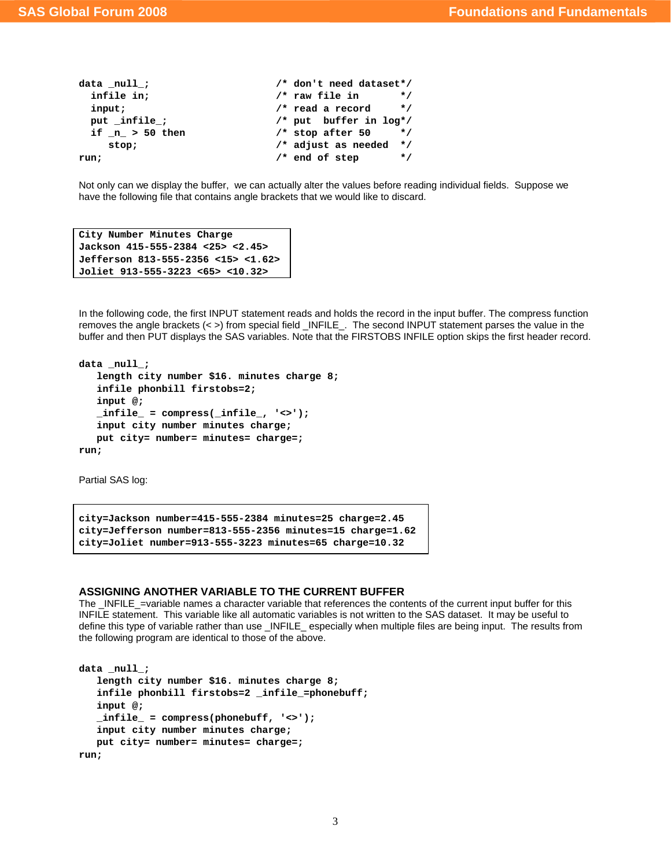```
data _null_; \frac{1}{1} /* don't need dataset*/
 infile in; \begin{array}{ccc} \text{infile in} & & \text{#} \\ \text{input:} & & \end{array}input; \sqrt{\phantom{a}} read a record
  put _infile_; /* put buffer in log*/ 
  if _n_ > 50 then /* stop after 50 */ 
     stop; /* adjust as needed */ 
run; /* end of step */
```
Not only can we display the buffer, we can actually alter the values before reading individual fields. Suppose we have the following file that contains angle brackets that we would like to discard.

```
City Number Minutes Charge 
Jackson 415-555-2384 <25> <2.45> 
Jefferson 813-555-2356 <15> <1.62> 
Joliet 913-555-3223 <65> <10.32>
```
In the following code, the first INPUT statement reads and holds the record in the input buffer. The compress function removes the angle brackets (< >) from special field \_INFILE\_. The second INPUT statement parses the value in the buffer and then PUT displays the SAS variables. Note that the FIRSTOBS INFILE option skips the first header record.

```
data null;
    length city number $16. minutes charge 8; 
    infile phonbill firstobs=2; 
    input @; 
   \text{infile} = \text{compress}(\text{infile} , '\>');
    input city number minutes charge; 
    put city= number= minutes= charge=; 
run;
```
Partial SAS log:

```
city=Jackson number=415-555-2384 minutes=25 charge=2.45 
city=Jefferson number=813-555-2356 minutes=15 charge=1.62 
city=Joliet number=913-555-3223 minutes=65 charge=10.32
```
### **ASSIGNING ANOTHER VARIABLE TO THE CURRENT BUFFER**

The  $IRILE =\varphi$  incorded names a character variable that references the contents of the current input buffer for this INFILE statement. This variable like all automatic variables is not written to the SAS dataset. It may be useful to define this type of variable rather than use \_INFILE\_ especially when multiple files are being input. The results from the following program are identical to those of the above.

```
data _null_; 
    length city number $16. minutes charge 8; 
    infile phonbill firstobs=2 _infile_=phonebuff; 
    input @; 
    _infile_ = compress(phonebuff, '<>'); 
    input city number minutes charge; 
    put city= number= minutes= charge=; 
run;
```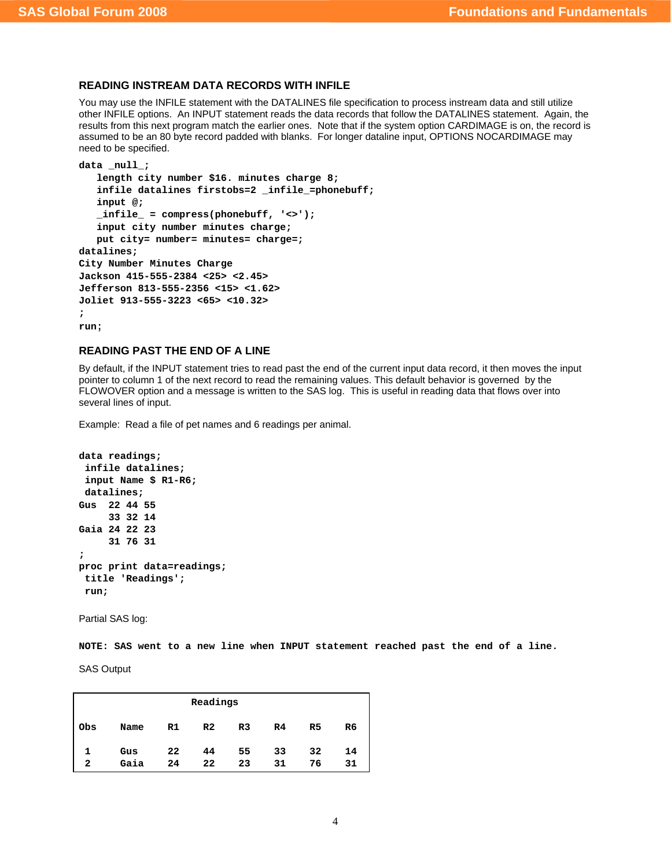## **READING INSTREAM DATA RECORDS WITH INFILE**

You may use the INFILE statement with the DATALINES file specification to process instream data and still utilize other INFILE options. An INPUT statement reads the data records that follow the DATALINES statement. Again, the results from this next program match the earlier ones. Note that if the system option CARDIMAGE is on, the record is assumed to be an 80 byte record padded with blanks. For longer dataline input, OPTIONS NOCARDIMAGE may need to be specified.

```
data null;
    length city number $16. minutes charge 8; 
   infile datalines firstobs=2 infile =phonebuff;
    input @; 
    _infile_ = compress(phonebuff, '<>'); 
    input city number minutes charge; 
    put city= number= minutes= charge=; 
datalines; 
City Number Minutes Charge 
Jackson 415-555-2384 <25> <2.45> 
Jefferson 813-555-2356 <15> <1.62> 
Joliet 913-555-3223 <65> <10.32> 
; 
run;
```
## **READING PAST THE END OF A LINE**

By default, if the INPUT statement tries to read past the end of the current input data record, it then moves the input pointer to column 1 of the next record to read the remaining values. This default behavior is governed by the FLOWOVER option and a message is written to the SAS log. This is useful in reading data that flows over into several lines of input.

Example: Read a file of pet names and 6 readings per animal.

```
data readings; 
  infile datalines; 
  input Name $ R1-R6; 
 datalines; 
Gus 22 44 55 
      33 32 14 
Gaia 24 22 23 
      31 76 31 
; 
proc print data=readings; 
 title 'Readings'; 
 run;
```
Partial SAS log:

**NOTE: SAS went to a new line when INPUT statement reached past the end of a line.** 

SAS Output

| Readings |      |    |                |                |                |                |    |
|----------|------|----|----------------|----------------|----------------|----------------|----|
| Obs      | Name | R1 | R <sub>2</sub> | R <sub>3</sub> | R <sub>4</sub> | R <sub>5</sub> | R6 |
| 1        | Gus  | 22 | 44             | 55             | 33             | 32             | 14 |
| 2        | Gaia | 24 | 22             | 23             | 31             | 76             | 31 |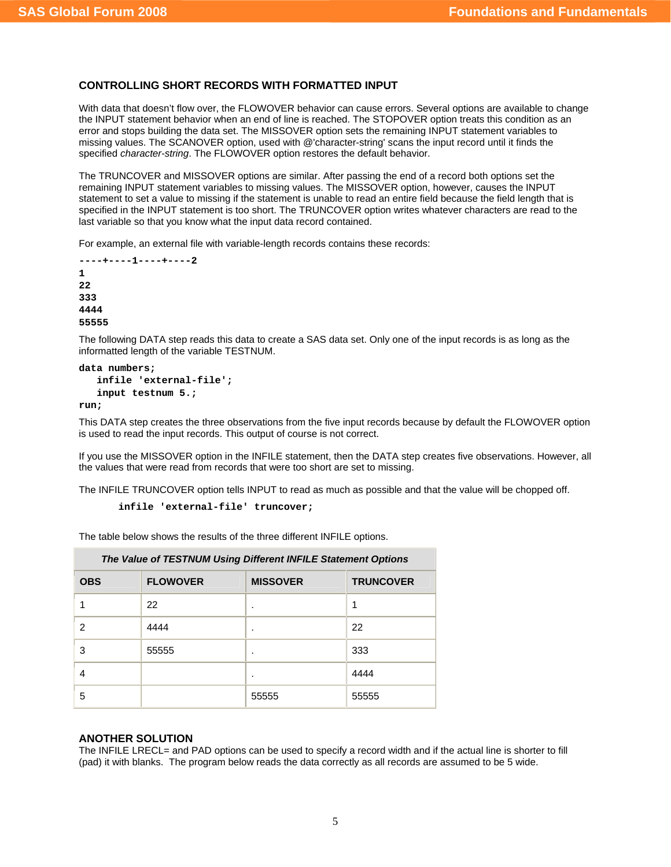## **CONTROLLING SHORT RECORDS WITH FORMATTED INPUT**

With data that doesn't flow over, the FLOWOVER behavior can cause errors. Several options are available to change the INPUT statement behavior when an end of line is reached. The STOPOVER option treats this condition as an error and stops building the data set. The MISSOVER option sets the remaining INPUT statement variables to missing values. The SCANOVER option, used with @'character-string' scans the input record until it finds the specified *character-string*. The FLOWOVER option restores the default behavior.

The TRUNCOVER and MISSOVER options are similar. After passing the end of a record both options set the remaining INPUT statement variables to missing values. The MISSOVER option, however, causes the INPUT statement to set a value to missing if the statement is unable to read an entire field because the field length that is specified in the INPUT statement is too short. The TRUNCOVER option writes whatever characters are read to the last variable so that you know what the input data record contained.

For example, an external file with variable-length records contains these records:

```
----+----1----+----2 
1 
22 
333 
4444 
55555
```
The following DATA step reads this data to create a SAS data set. Only one of the input records is as long as the informatted length of the variable TESTNUM.

```
data numbers;
```

```
 infile 'external-file'; 
 input testnum 5.;
```
**run;** 

This DATA step creates the three observations from the five input records because by default the FLOWOVER option is used to read the input records. This output of course is not correct.

If you use the MISSOVER option in the INFILE statement, then the DATA step creates five observations. However, all the values that were read from records that were too short are set to missing.

The INFILE TRUNCOVER option tells INPUT to read as much as possible and that the value will be chopped off.

```
 infile 'external-file' truncover;
```
The table below shows the results of the three different INFILE options.

| The Value of TESTNUM Using Different INFILE Statement Options |                 |                 |                  |  |
|---------------------------------------------------------------|-----------------|-----------------|------------------|--|
| <b>OBS</b>                                                    | <b>FLOWOVER</b> | <b>MISSOVER</b> | <b>TRUNCOVER</b> |  |
|                                                               | 22              | ٠               |                  |  |
| 2                                                             | 4444            | ٠               | 22               |  |
| 3                                                             | 55555           | ٠               | 333              |  |
| 4                                                             |                 |                 | 4444             |  |
| 5                                                             |                 | 55555           | 55555            |  |

## **ANOTHER SOLUTION**

The INFILE LRECL= and PAD options can be used to specify a record width and if the actual line is shorter to fill (pad) it with blanks. The program below reads the data correctly as all records are assumed to be 5 wide.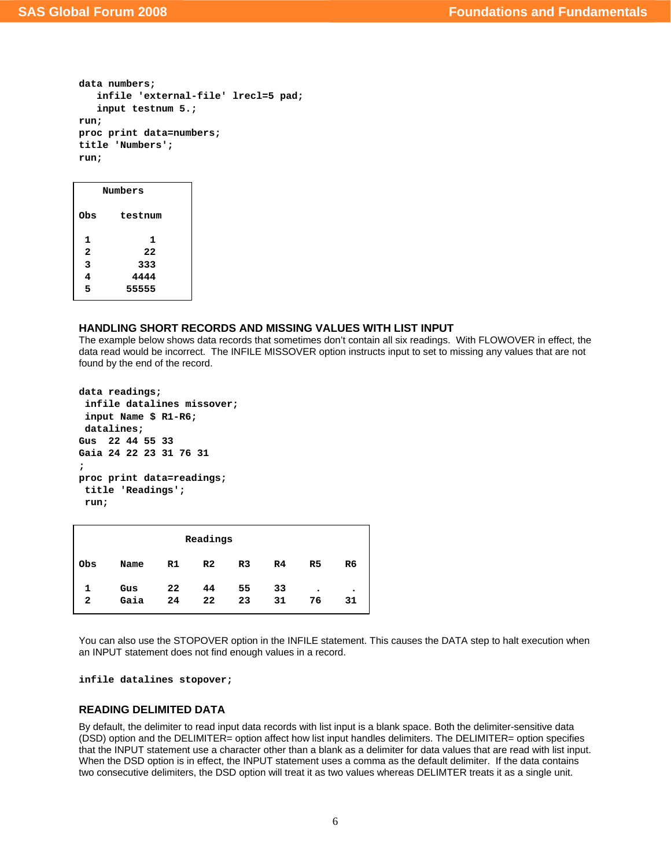```
data numbers; 
    infile 'external-file' lrecl=5 pad; 
    input testnum 5.; 
run; 
proc print data=numbers; 
title 'Numbers'; 
run;
```

| Numbers |  |
|---------|--|
| testnum |  |
| 1       |  |
| 22      |  |
| 333     |  |
| 4444    |  |
| 55555   |  |
|         |  |

### **HANDLING SHORT RECORDS AND MISSING VALUES WITH LIST INPUT**

The example below shows data records that sometimes don't contain all six readings. With FLOWOVER in effect, the data read would be incorrect. The INFILE MISSOVER option instructs input to set to missing any values that are not found by the end of the record.

```
data readings; 
  infile datalines missover; 
  input Name $ R1-R6; 
 datalines; 
Gus 22 44 55 33 
Gaia 24 22 23 31 76 31 
; 
proc print data=readings; 
  title 'Readings'; 
 run;
```

| Readings |      |    |                |                |                |                |                |
|----------|------|----|----------------|----------------|----------------|----------------|----------------|
| Obs      | Name | R1 | R <sub>2</sub> | R <sub>3</sub> | R <sub>4</sub> | R <sub>5</sub> | R <sub>6</sub> |
| 1.       | Gus  | 22 | 44             | 55             | 33             | $\bullet$      | ٠              |
| 2        | Gaia | 24 | 22             | 23             | 31             | 76             | 31             |

You can also use the STOPOVER option in the INFILE statement. This causes the DATA step to halt execution when an INPUT statement does not find enough values in a record.

**infile datalines stopover;** 

## **READING DELIMITED DATA**

By default, the delimiter to read input data records with list input is a blank space. Both the delimiter-sensitive data (DSD) option and the DELIMITER= option affect how list input handles delimiters. The DELIMITER= option specifies that the INPUT statement use a character other than a blank as a delimiter for data values that are read with list input. When the DSD option is in effect, the INPUT statement uses a comma as the default delimiter. If the data contains two consecutive delimiters, the DSD option will treat it as two values whereas DELIMTER treats it as a single unit.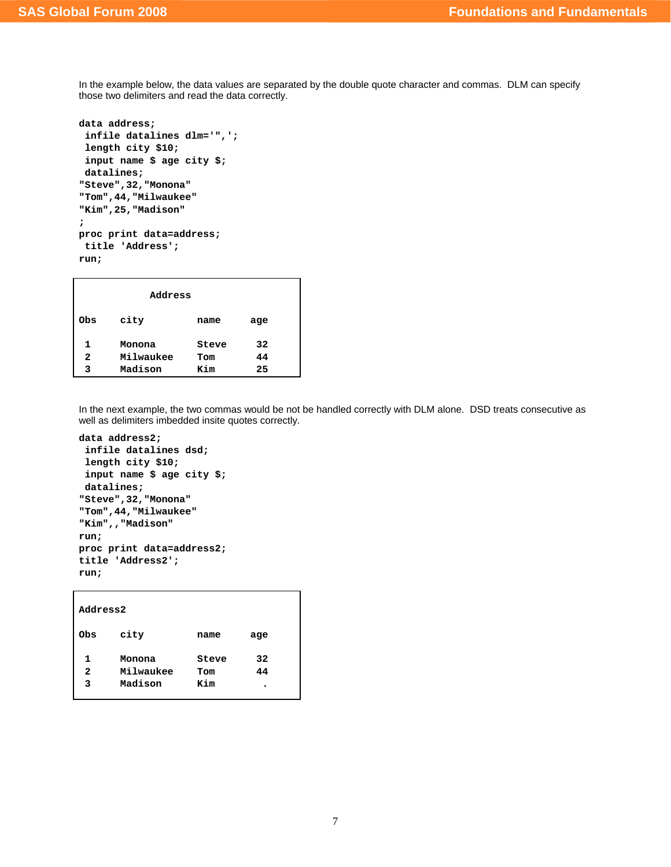In the example below, the data values are separated by the double quote character and commas. DLM can specify those two delimiters and read the data correctly.

```
data address; 
  infile datalines dlm='",'; 
 length city $10; 
 input name $ age city $; 
 datalines; 
"Steve",32,"Monona" 
"Tom",44,"Milwaukee" 
"Kim",25,"Madison" 
; 
proc print data=address; 
  title 'Address'; 
run;
```

|     | Address   |       |     |
|-----|-----------|-------|-----|
| Obs | city      | name  | age |
| 1   | Monona    | Steve | 32  |
| 2   | Milwaukee | Tom   | 44  |
| 3   | Madison   | Kim   | 25  |

In the next example, the two commas would be not be handled correctly with DLM alone. DSD treats consecutive as well as delimiters imbedded insite quotes correctly.

```
data address2; 
  infile datalines dsd; 
  length city $10;
```

```
 input name $ age city $; 
 datalines; 
"Steve",32,"Monona" 
"Tom",44,"Milwaukee" 
"Kim",,"Madison" 
run; 
proc print data=address2; 
title 'Address2'; 
run;
```

| Address2 |                     |              |          |
|----------|---------------------|--------------|----------|
| Obs      | city                | name         | age      |
| 1<br>2   | Monona<br>Milwaukee | Steve<br>Tom | 32<br>44 |
| 3        | Madison             | Kim          | ٠        |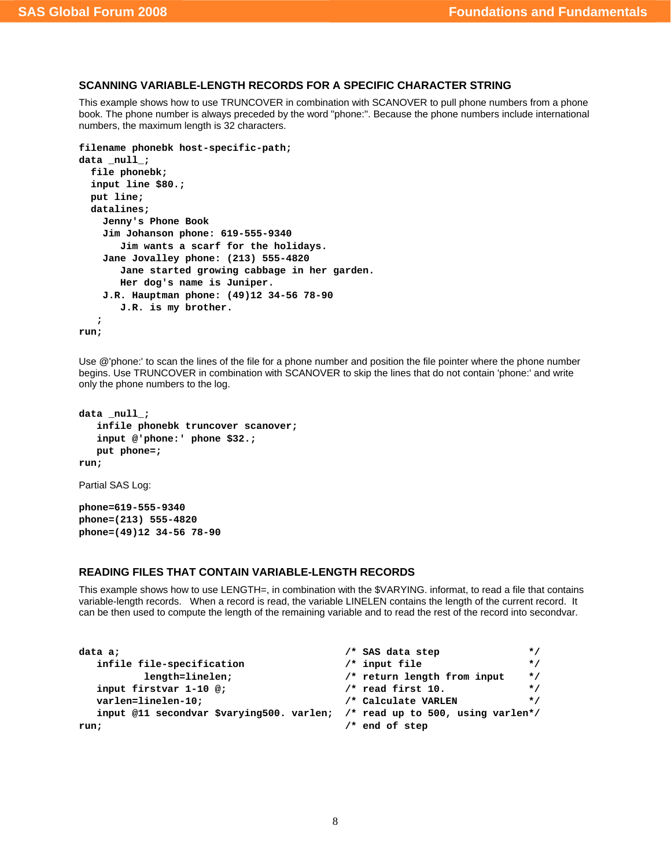## **SCANNING VARIABLE-LENGTH RECORDS FOR A SPECIFIC CHARACTER STRING**

This example shows how to use TRUNCOVER in combination with SCANOVER to pull phone numbers from a phone book. The phone number is always preceded by the word "phone:". Because the phone numbers include international numbers, the maximum length is 32 characters.

```
filename phonebk host-specific-path;
```

```
data _null_; 
   file phonebk; 
   input line $80.; 
   put line; 
   datalines; 
     Jenny's Phone Book 
     Jim Johanson phone: 619-555-9340 
        Jim wants a scarf for the holidays. 
     Jane Jovalley phone: (213) 555-4820 
        Jane started growing cabbage in her garden. 
        Her dog's name is Juniper. 
     J.R. Hauptman phone: (49)12 34-56 78-90 
        J.R. is my brother. 
    ;
```
**run;** 

Use @'phone:' to scan the lines of the file for a phone number and position the file pointer where the phone number begins. Use TRUNCOVER in combination with SCANOVER to skip the lines that do not contain 'phone:' and write only the phone numbers to the log.

```
data _null_; 
    infile phonebk truncover scanover; 
    input @'phone:' phone $32.; 
    put phone=; 
run;
```
Partial SAS Log:

**phone=619-555-9340 phone=(213) 555-4820 phone=(49)12 34-56 78-90** 

## **READING FILES THAT CONTAIN VARIABLE-LENGTH RECORDS**

This example shows how to use LENGTH=, in combination with the \$VARYING. informat, to read a file that contains variable-length records. When a record is read, the variable LINELEN contains the length of the current record. It can be then used to compute the length of the remaining variable and to read the rest of the record into secondvar.

| data a;                                                                     | /* SAS data step<br>$\star$ /            |
|-----------------------------------------------------------------------------|------------------------------------------|
| infile file-specification                                                   | $/*$ input file<br>$\star$ /             |
| length=linelen;                                                             | /* return length from input<br>$\star$ / |
| input firstvar 1-10 @;                                                      | $/*$ read first 10.<br>$\star$ /         |
| varlen=linelen-10:                                                          | /* Calculate VARLEN<br>$\star$ /         |
| input @11 secondvar \$varying500. varlen; /* read up to 500, using varlen*/ |                                          |
| run;                                                                        | /* end of step                           |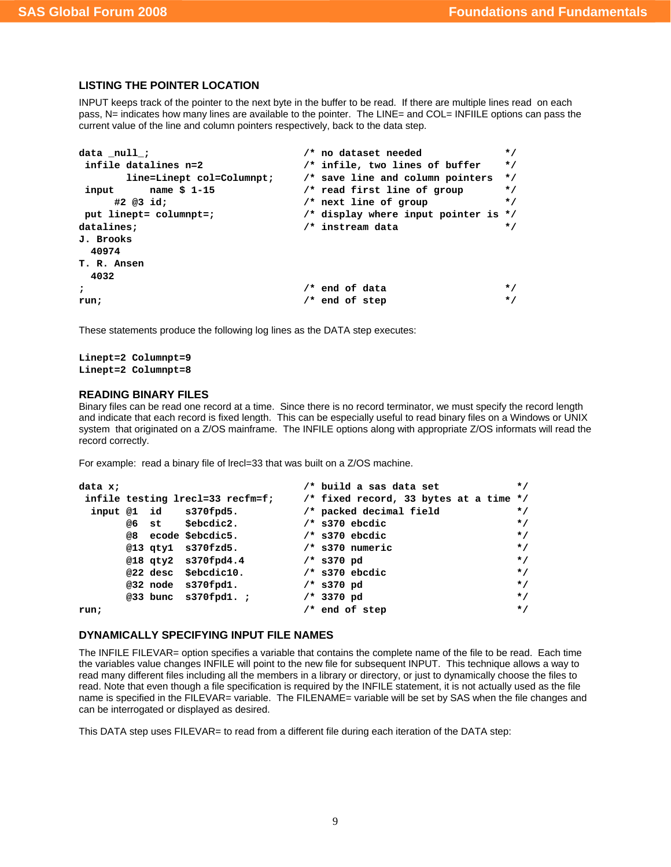# **LISTING THE POINTER LOCATION**

INPUT keeps track of the pointer to the next byte in the buffer to be read. If there are multiple lines read on each pass, N= indicates how many lines are available to the pointer. The LINE= and COL= INFIILE options can pass the current value of the line and column pointers respectively, back to the data step.

| data null;                | /* no dataset needed                     | $\star$ / |
|---------------------------|------------------------------------------|-----------|
| infile datalines n=2      | /* infile, two lines of buffer           | $\star$ / |
| line=Linept col=Columnpt; | /* save line and column pointers         | $\star$ / |
| name \$ 1-15<br>input     | /* read first line of group              | $\star$ / |
| #2 @3 id:                 | /* next line of group                    | $\star$ / |
| put linept= columnpt=;    | $/*$ display where input pointer is $*/$ |           |
| datalines;                | /* instream data                         | $\star$ / |
| J. Brooks                 |                                          |           |
| 40974                     |                                          |           |
| T. R. Ansen               |                                          |           |
| 4032                      |                                          |           |
| ,                         | /* end of data                           | $\star$ / |
| run;                      | $/*$ end of step                         | $\star$ / |

These statements produce the following log lines as the DATA step executes:

```
Linept=2 Columnpt=9 
Linept=2 Columnpt=8
```
## **READING BINARY FILES**

Binary files can be read one record at a time. Since there is no record terminator, we must specify the record length and indicate that each record is fixed length. This can be especially useful to read binary files on a Windows or UNIX system that originated on a Z/OS mainframe. The INFILE options along with appropriate Z/OS informats will read the record correctly.

For example: read a binary file of lrecl=33 that was built on a Z/OS machine.

```
data x; \overline{\hspace{1cm}} /* build a sas data set \overline{\hspace{1cm}} */
 infile testing lrecl=33 recfm=f; /* fixed record, 33 bytes at a time */ 
  input @1 id s370fpd5. /* packed decimal field */ 
      @6 st $ebcdic2. /* s370 ebcdic */ 
     @8 ecode $ebcdic5.
      @13 qty1 s370fzd5. /* s370 numeric */ 
      @18 qty2 s370fpd4.4 /* s370 pd */ 
      @22 desc $ebcdic10. /* s370 ebcdic */ 
      @32 node s370fpd1. /* s370 pd */ 
      @33 bunc s370fpd1. ; /* 3370 pd */ 
run; \qquad \qquad \qquad /* end of step \qquad \qquad \qquad */
```
# **DYNAMICALLY SPECIFYING INPUT FILE NAMES**

The INFILE FILEVAR= option specifies a variable that contains the complete name of the file to be read. Each time the variables value changes INFILE will point to the new file for subsequent INPUT. This technique allows a way to read many different files including all the members in a library or directory, or just to dynamically choose the files to read. Note that even though a file specification is required by the INFILE statement, it is not actually used as the file name is specified in the FILEVAR= variable. The FILENAME= variable will be set by SAS when the file changes and can be interrogated or displayed as desired.

This DATA step uses FILEVAR= to read from a different file during each iteration of the DATA step: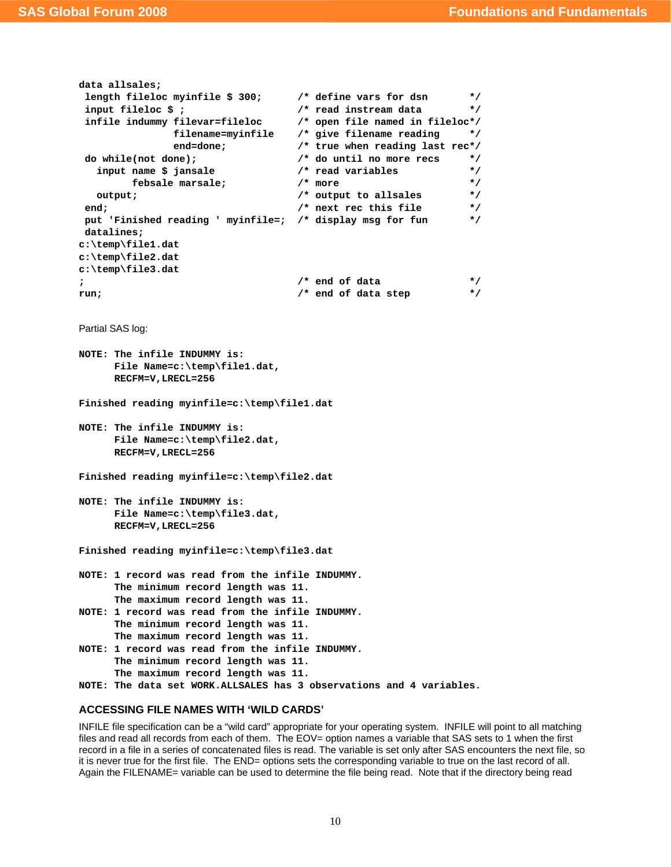```
data allsales; 
 length fileloc myinfile $ 300; /* define vars for dsn */ 
 input fileloc $ ; /* read instream data */ 
 infile indummy filevar=fileloc /* open file named in fileloc*/ 
            filename=myinfile /* give filename reading */ 
            end=done; /* true when reading last rec*/ 
 do while(not done); /* do until no more recs */ 
   input name $ jansale /* read variables */ 
      febsale marsale; \frac{1}{2} /* more \frac{1}{2} /* more
   output; /* output to allsales */ 
 end; /* next rec this file */ 
 put 'Finished reading ' myinfile=; /* display msg for fun */ 
 datalines; 
c:\temp\file1.dat 
c:\temp\file2.dat 
c:\temp\file3.dat 
; /* end of data */ 
run; \frac{1}{2} /* end of data step */
```

```
Partial SAS log:
```

```
NOTE: The infile INDUMMY is: 
       File Name=c:\temp\file1.dat, 
       RECFM=V,LRECL=256
```
**Finished reading myinfile=c:\temp\file1.dat** 

```
NOTE: The infile INDUMMY is: 
       File Name=c:\temp\file2.dat, 
       RECFM=V,LRECL=256
```
**Finished reading myinfile=c:\temp\file2.dat** 

```
NOTE: The infile INDUMMY is: 
       File Name=c:\temp\file3.dat, 
       RECFM=V,LRECL=256
```
**Finished reading myinfile=c:\temp\file3.dat** 

```
NOTE: 1 record was read from the infile INDUMMY. 
       The minimum record length was 11. 
       The maximum record length was 11. 
NOTE: 1 record was read from the infile INDUMMY.
```

```
 The minimum record length was 11. 
       The maximum record length was 11. 
NOTE: 1 record was read from the infile INDUMMY.
```

```
 The minimum record length was 11.
```
- **The maximum record length was 11.**
- **NOTE: The data set WORK.ALLSALES has 3 observations and 4 variables.**

## **ACCESSING FILE NAMES WITH 'WILD CARDS'**

INFILE file specification can be a "wild card" appropriate for your operating system. INFILE will point to all matching files and read all records from each of them. The EOV= option names a variable that SAS sets to 1 when the first record in a file in a series of concatenated files is read. The variable is set only after SAS encounters the next file, so it is never true for the first file. The END= options sets the corresponding variable to true on the last record of all. Again the FILENAME= variable can be used to determine the file being read. Note that if the directory being read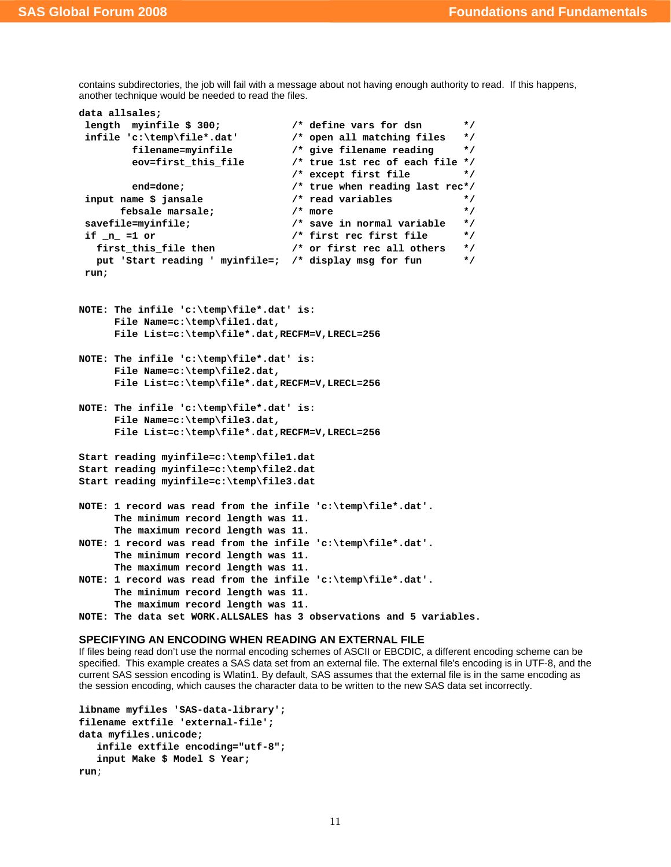contains subdirectories, the job will fail with a message about not having enough authority to read. If this happens, another technique would be needed to read the files.

```
data allsales; 
  length myinfile $ 300; /* define vars for dsn */ 
  infile 'c:\temp\file*.dat' /* open all matching files */ 
         filename=myinfile /* give filename reading */ 
         eov=first_this_file /* true 1st rec of each file */ 
                                  /* except first file */ 
         end=done; /* true when reading last rec*/ 
  input name $ jansale /* read variables */ 
       febsale marsale; /* more */ 
 savefile=myinfile; <br>if n =1 or <br>/* first rec first file */
  if _n_ =1 or /* first rec first file */ 
   first_this_file then /* or first rec all others */ 
   put 'Start reading ' myinfile=; /* display msg for fun */ 
 run; 
NOTE: The infile 'c:\temp\file*.dat' is: 
      File Name=c:\temp\file1.dat, 
      File List=c:\temp\file*.dat,RECFM=V,LRECL=256 
NOTE: The infile 'c:\temp\file*.dat' is: 
      File Name=c:\temp\file2.dat, 
      File List=c:\temp\file*.dat,RECFM=V,LRECL=256 
NOTE: The infile 'c:\temp\file*.dat' is: 
      File Name=c:\temp\file3.dat, 
      File List=c:\temp\file*.dat,RECFM=V,LRECL=256 
Start reading myinfile=c:\temp\file1.dat 
Start reading myinfile=c:\temp\file2.dat 
Start reading myinfile=c:\temp\file3.dat 
NOTE: 1 record was read from the infile 'c:\temp\file*.dat'. 
      The minimum record length was 11. 
      The maximum record length was 11. 
NOTE: 1 record was read from the infile 'c:\temp\file*.dat'. 
      The minimum record length was 11. 
      The maximum record length was 11. 
NOTE: 1 record was read from the infile 'c:\temp\file*.dat'. 
      The minimum record length was 11. 
      The maximum record length was 11. 
NOTE: The data set WORK.ALLSALES has 3 observations and 5 variables.
```
#### **SPECIFYING AN ENCODING WHEN READING AN EXTERNAL FILE**

If files being read don't use the normal encoding schemes of ASCII or EBCDIC, a different encoding scheme can be specified. This example creates a SAS data set from an external file. The external file's encoding is in UTF-8, and the current SAS session encoding is Wlatin1. By default, SAS assumes that the external file is in the same encoding as the session encoding, which causes the character data to be written to the new SAS data set incorrectly.

```
libname myfiles 'SAS-data-library'; 
filename extfile 'external-file'; 
data myfiles.unicode; 
    infile extfile encoding="utf-8"; 
    input Make $ Model $ Year; 
run;
```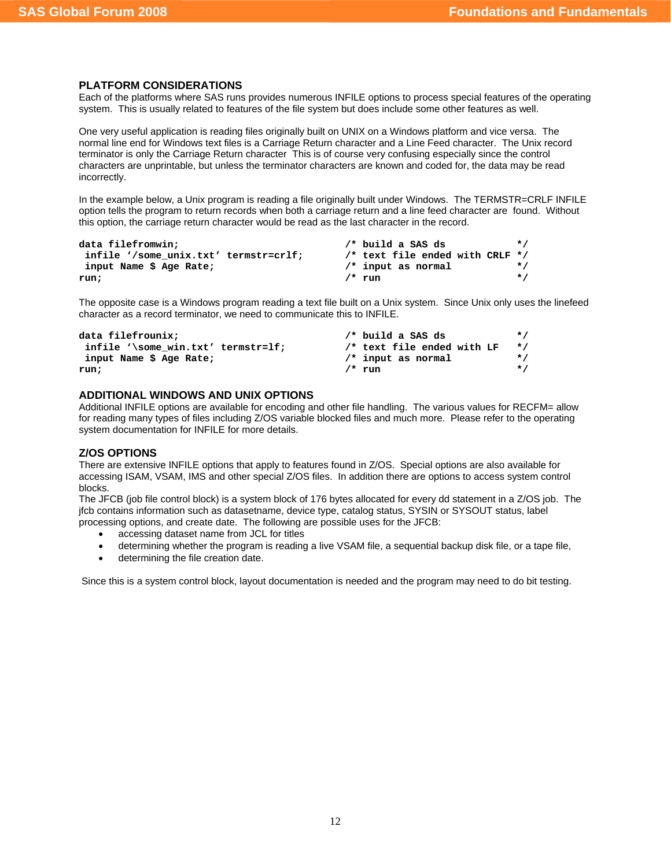## **PLATFORM CONSIDERATIONS**

Each of the platforms where SAS runs provides numerous INFILE options to process special features of the operating system. This is usually related to features of the file system but does include some other features as well.

One very useful application is reading files originally built on UNIX on a Windows platform and vice versa. The normal line end for Windows text files is a Carriage Return character and a Line Feed character. The Unix record terminator is only the Carriage Return character This is of course very confusing especially since the control characters are unprintable, but unless the terminator characters are known and coded for, the data may be read incorrectly.

In the example below, a Unix program is reading a file originally built under Windows. The TERMSTR=CRLF INFILE option tells the program to return records when both a carriage return and a line feed character are found. Without this option, the carriage return character would be read as the last character in the record.

| data filefromwin:                     |           | $/*$ build a SAS ds             | $\star$ / |
|---------------------------------------|-----------|---------------------------------|-----------|
| infile '/some unix.txt' termstr=crlf; |           | /* text file ended with CRLF */ |           |
| input Name \$ Age Rate;               |           | $/*$ input as normal            | $\star$ / |
| run;                                  | $/$ * run |                                 | $\star$ / |

The opposite case is a Windows program reading a text file built on a Unix system. Since Unix only uses the linefeed character as a record terminator, we need to communicate this to INFILE.

| data filefrounix;                  | $/*$ build a SAS ds        | $\star$ / |
|------------------------------------|----------------------------|-----------|
| infile '\some win.txt' termstr=lf; | /* text file ended with LF | $\star$ / |
| input Name \$ Age Rate;            | $/*$ input as normal       | $\star$ / |
| run;                               | $/$ * run                  | $\star$ / |

## **ADDITIONAL WINDOWS AND UNIX OPTIONS**

Additional INFILE options are available for encoding and other file handling. The various values for RECFM= allow for reading many types of files including Z/OS variable blocked files and much more. Please refer to the operating system documentation for INFILE for more details.

### **Z/OS OPTIONS**

There are extensive INFILE options that apply to features found in Z/OS. Special options are also available for accessing ISAM, VSAM, IMS and other special Z/OS files. In addition there are options to access system control blocks.

The JFCB (job file control block) is a system block of 176 bytes allocated for every dd statement in a Z/OS job. The jfcb contains information such as datasetname, device type, catalog status, SYSIN or SYSOUT status, label processing options, and create date. The following are possible uses for the JFCB:

- accessing dataset name from JCL for titles
- determining whether the program is reading a live VSAM file, a sequential backup disk file, or a tape file,
- determining the file creation date.

Since this is a system control block, layout documentation is needed and the program may need to do bit testing.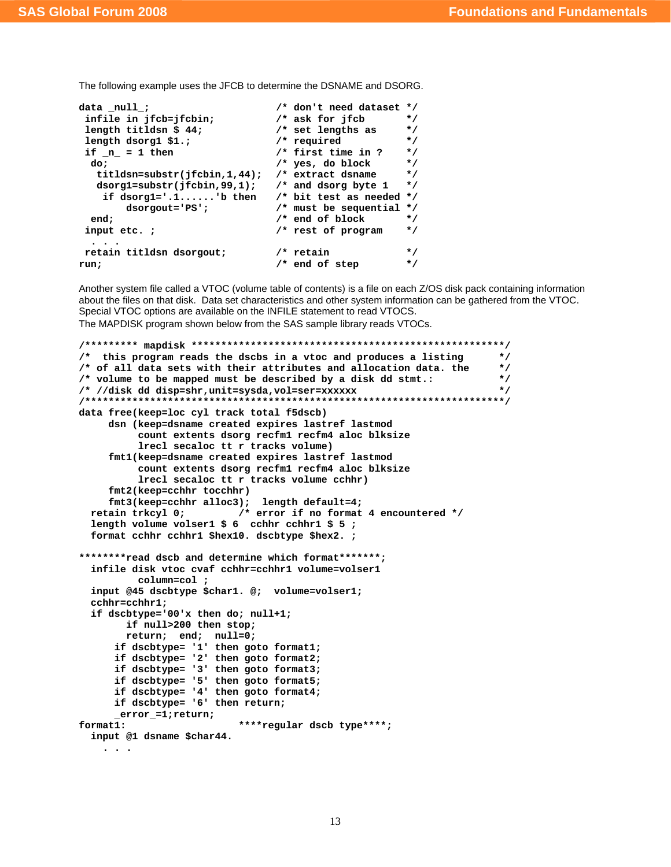The following example uses the JFCB to determine the DSNAME and DSORG.

```
data _null_;<br>infile in jfcb=jfcbin; <br>/* ask for jfcb */
 infile in jfcb=jfcbin;
  length titldsn $ 44; /* set lengths as */ 
  length dsorg1 $1.; <br>if n = 1 then <br>if n = 1 then <br>/* first time in ? */
 if _n = 1 then \frac{1}{x} in \frac{1}{x} then \frac{1}{x} is time in ? */<br>
do: \frac{1}{x} is a do block */
 do; /* yes, do block */<br>
titldsn=substr(ifcbin.1.44): /* extract dsname */
    titldsn=substr(jfcbin,1,44); /* extract dsname */ 
   dsorg1=substr(jfcbin,99,1); /* and dsorg byte 1<br>if dsorg1='.1......'b then /* bit test as neede
                                  \frac{1}{10} bit test as needed */
         dsorgout='PS'; /* must be sequential */ 
   end; /* end of block */ 
  input etc. ; /* rest of program */ 
 . . . 
  retain titldsn dsorgout; /* retain */ 
run; \frac{1}{4} /* end of step
```
Another system file called a VTOC (volume table of contents) is a file on each Z/OS disk pack containing information about the files on that disk. Data set characteristics and other system information can be gathered from the VTOC. Special VTOC options are available on the INFILE statement to read VTOCS. The MAPDISK program shown below from the SAS sample library reads VTOCs.

```
/********* mapdisk *****************************************************/ 
/* this program reads the dscbs in a vtoc and produces a listing */ 
/* of all data sets with their attributes and allocation data. the */ 
/* volume to be mapped must be described by a disk dd stmt.: */ 
/* //disk dd disp=shr,unit=sysda,vol=ser=xxxxxx */ 
/***********************************************************************/ 
data free(keep=loc cyl track total f5dscb) 
     dsn (keep=dsname created expires lastref lastmod 
           count extents dsorg recfm1recfm4 aloc blksize 
           lrecl secaloc tt r tracks volume) 
     fmt1(keep=dsname created expires lastref lastmod 
           count extents dsorg recfm1recfm4 aloc blksize 
           lrecl secaloc tt r tracks volume cchhr) 
      fmt2(keep=cchhr tocchhr) 
     fmt3(keep=cchhr alloc3); length default=4; 
  retain trkcyl 0; /* error if no format 4 encountered */ 
  length volume volser1 $ 6 cchhr cchhr1 $ 5 ; 
  format cchhr cchhr1 $hex10. dscbtype $hex2. ; 
********read dscb and determine which format*******; 
   infile disk vtoc cvaf cchhr=cchhr1 volume=volser1 
           column=col ; 
  input @45 dscbtype $char1. @; volume=volser1; 
  cchhr=cchhr1; 
  if dscbtype='00'x then do; null+1; 
        if null>200 then stop; 
        return; end; null=0; 
       if dscbtype= '1' then goto format1; 
       if dscbtype= '2' then goto format2; 
       if dscbtype= '3' then goto format3; 
       if dscbtype= '5' then goto format5; 
       if dscbtype= '4' then goto format4; 
       if dscbtype= '6' then return; 
       _error_=1;return; 
format1: ****regular dscb type****; 
   input @1 dsname $char44. 
     . . .
```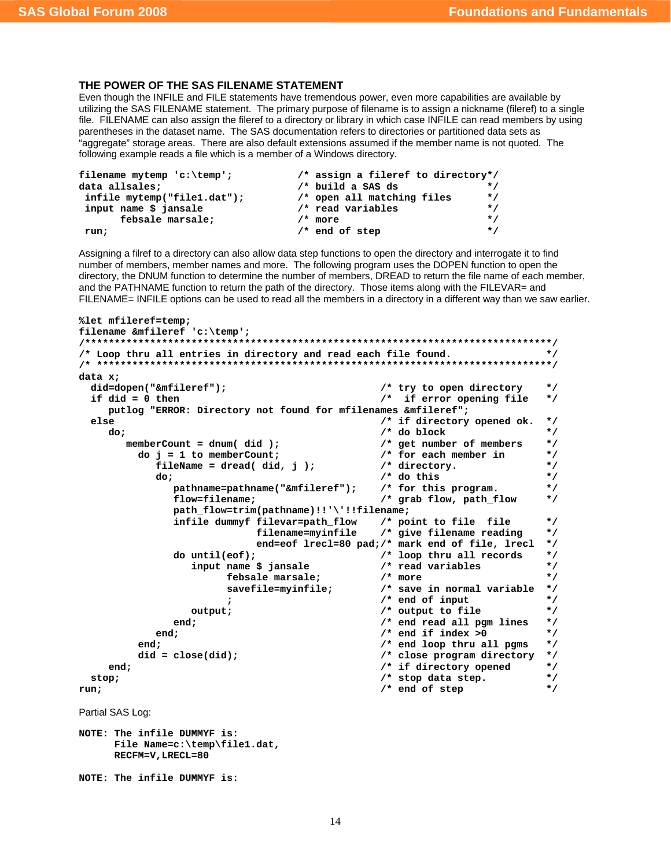# **THE POWER OF THE SAS FILENAME STATEMENT**

Even though the INFILE and FILE statements have tremendous power, even more capabilities are available by utilizing the SAS FILENAME statement. The primary purpose of filename is to assign a nickname (fileref) to a single file. FILENAME can also assign the fileref to a directory or library in which case INFILE can read members by using parentheses in the dataset name. The SAS documentation refers to directories or partitioned data sets as "aggregate" storage areas. There are also default extensions assumed if the member name is not quoted. The following example reads a file which is a member of a Windows directory.

| filename mytemp 'c:\temp';  | /* assign a fileref to directory*/ |           |
|-----------------------------|------------------------------------|-----------|
| data allsales;              | $/*$ build a SAS ds                | $\star$ / |
| infile mytemp("file1.dat"); | /* open all matching files         | $\star$ / |
| input name \$ jansale       | $/*$ read variables                | $\star$ / |
| febsale marsale:            | $/*$ more                          | $\star$ / |
| run;                        | $/*$ end of step                   | $\star$ / |

Assigning a filref to a directory can also allow data step functions to open the directory and interrogate it to find number of members, member names and more. The following program uses the DOPEN function to open the directory, the DNUM function to determine the number of members, DREAD to return the file name of each member, and the PATHNAME function to return the path of the directory. Those items along with the FILEVAR= and FILENAME= INFILE options can be used to read all the members in a directory in a different way than we saw earlier.

```
%let mfileref=temp; 
filename &mfileref 'c:\temp'; 
/*******************************************************************************/ 
/* Loop thru all entries in directory and read each file found. */ 
/* *****************************************************************************/ 
data x; 
   did=dopen("&mfileref"); /* try to open directory */ 
   if did = 0 then /* if error opening file */ 
      putlog "ERROR: Directory not found for mfilenames &mfileref"; 
  else else o else o else o else o else o else o else o else
      do;    do    <i>do    do    t    /* do block    */    /* do block    */
          memberCount = dnum( did ); /* get number of members */ 
             do j = 1 to memberCount; /* for each member in */ 
               fileName = thread(id, j); do; /* do this */ 
                    pathname=pathname("&mfileref"); /* for this program. */ 
                    flow=filename; /* grab flow, path_flow */ 
                    path_flow=trim(pathname)!!'\'!!filename; 
                    infile dummyf filevar=path_flow /* point to file file */ 
                                                            /* give filename reading */
                                     end=eof lrecl=80 pad;/* mark end of file, lrecl */ 
                   do until(eof);<br>
input name $ jansale <br>
/* read variables */
                        input name $ jansale /* read variables */ 
                               febsale marsale; /* more */ 
                               savefile=myinfile; /* save in normal variable */ 
                                                              ; /* end of input */ 
                      output; \sqrt{\frac{1}{\pi}} output to file \sqrt{\frac{1}{\pi}}end; \begin{array}{ccc} \n \text{end} & \text{end} & \text{read all } \text{pgm lines} & \star \text{/} \\
 \text{l}; & \text{end if index >0} & \star \text{/} \\
 \end{array}end; \begin{array}{ccc}\n & \text{end}; \\
 \hline\n t;\n \end{array}end; \frac{1}{2} end \frac{1}{2} end \frac{1}{2} end \frac{1}{2} end;
             did = close(did); /* close program directory */ 
      end; the same of the same of the same of the same of the same of the same of the same of the same of the same of the same of the same of the same of the same of the same of the same of the same of the same of the same of
  stop;<br>
m:<br>
n:<br>
\begin{array}{ccc}\n & & \text{if } \\
 & & \text{if } \\
 & & \text{if } \\
 & & \text{if } \\
 & & \text{if } \\
 & & \text{if } \\
 & & \text{if } \\
 & & \text{if } \\
 & & \text{if } \\
 & & \text{if } \\
 & & \text{if } \\
 & & \text{if } \\
 & & \text{if } \\
 & & \text{if } \\
 & & \text{if } \\
 & & \text{if } \\
 & & \text{if } \\
 & & \text{if } \\
 & & \text{if } \\
 & & \text{if } \\
 & & \text{if } \\
 & & \text{if } \\
 & & \text{if } \\
 & & \text{if } \\
 & & \text{ifrun; \frac{1}{2} /* end of step \frac{1}{2}Partial SAS Log: 
NOTE: The infile DUMMYF is: 
        File Name=c:\temp\file1.dat, 
        RECFM=V,LRECL=80 
NOTE: The infile DUMMYF is:
```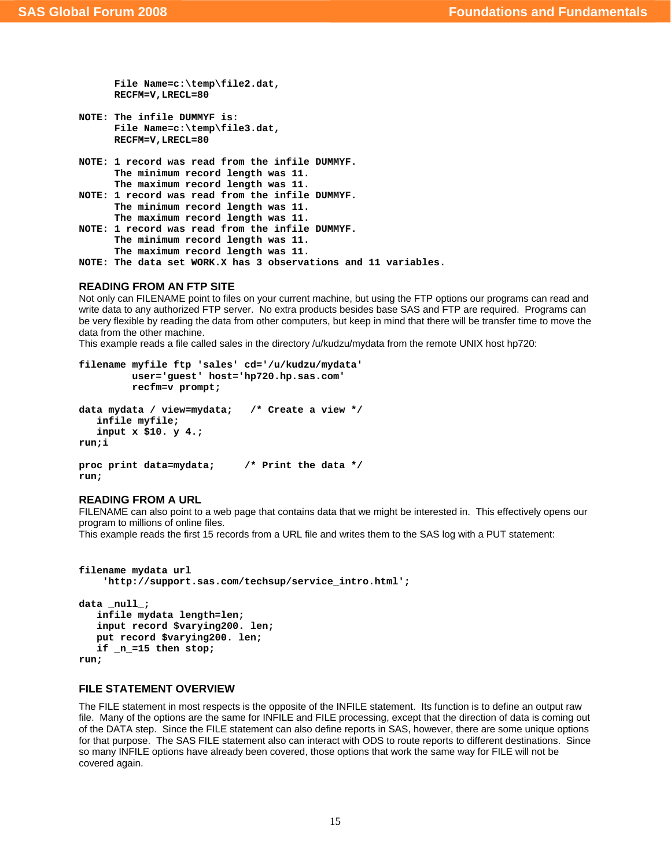```
 File Name=c:\temp\file2.dat, 
       RECFM=V,LRECL=80 
NOTE: The infile DUMMYF is: 
       File Name=c:\temp\file3.dat, 
       RECFM=V,LRECL=80 
NOTE: 1 record was read from the infile DUMMYF. 
       The minimum record length was 11. 
       The maximum record length was 11. 
NOTE: 1 record was read from the infile DUMMYF. 
       The minimum record length was 11. 
       The maximum record length was 11. 
NOTE: 1 record was read from the infile DUMMYF. 
       The minimum record length was 11. 
       The maximum record length was 11. 
NOTE: The data set WORK.X has 3 observations and 11 variables.
```
## **READING FROM AN FTP SITE**

Not only can FILENAME point to files on your current machine, but using the FTP options our programs can read and write data to any authorized FTP server. No extra products besides base SAS and FTP are required. Programs can be very flexible by reading the data from other computers, but keep in mind that there will be transfer time to move the data from the other machine.

This example reads a file called sales in the directory /u/kudzu/mydata from the remote UNIX host hp720:

```
filename myfile ftp 'sales' cd='/u/kudzu/mydata' 
          user='guest' host='hp720.hp.sas.com' 
          recfm=v prompt; 
data mydata / view=mydata; /* Create a view */ 
    infile myfile; 
    input x $10. y 4.; 
run;i 
proc print data=mydata; /* Print the data */ 
run;
```
#### **READING FROM A URL**

FILENAME can also point to a web page that contains data that we might be interested in. This effectively opens our program to millions of online files.

This example reads the first 15 records from a URL file and writes them to the SAS log with a PUT statement:

```
filename mydata url 
     'http://support.sas.com/techsup/service_intro.html'; 
data null;
    infile mydata length=len; 
    input record $varying200. len; 
    put record $varying200. len; 
    if _n_=15 then stop;
```
**run;** 

## **FILE STATEMENT OVERVIEW**

The FILE statement in most respects is the opposite of the INFILE statement. Its function is to define an output raw file. Many of the options are the same for INFILE and FILE processing, except that the direction of data is coming out of the DATA step. Since the FILE statement can also define reports in SAS, however, there are some unique options for that purpose. The SAS FILE statement also can interact with ODS to route reports to different destinations. Since so many INFILE options have already been covered, those options that work the same way for FILE will not be covered again.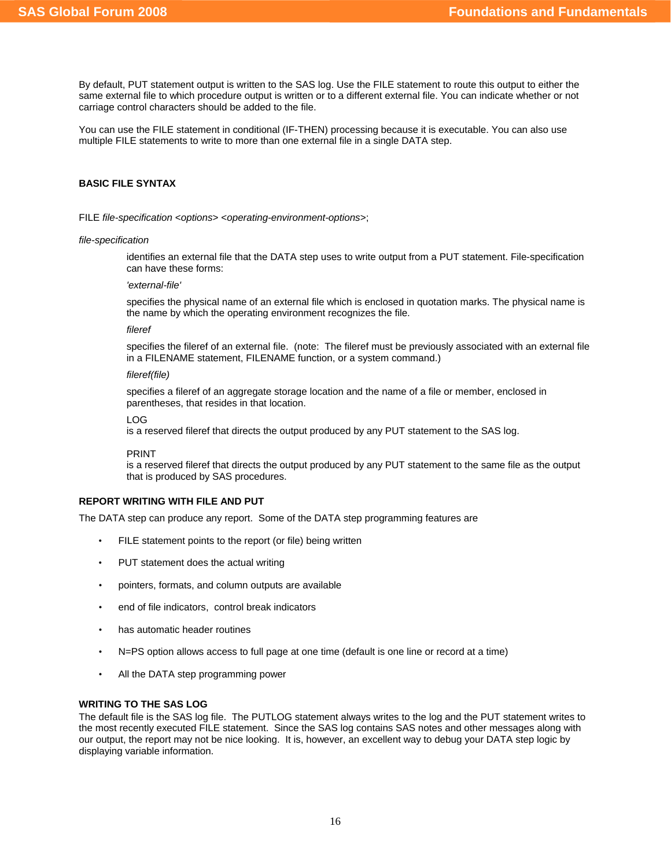By default, PUT statement output is written to the SAS log. Use the FILE statement to route this output to either the same external file to which procedure output is written or to a different external file. You can indicate whether or not carriage control characters should be added to the file.

You can use the FILE statement in conditional (IF-THEN) processing because it is executable. You can also use multiple FILE statements to write to more than one external file in a single DATA step.

### **BASIC FILE SYNTAX**

FILE *file-specification* <*options*> <*operating-environment-options*>;

#### *file-specification*

identifies an external file that the DATA step uses to write output from a PUT statement. File-specification can have these forms:

*'external-file'* 

specifies the physical name of an external file which is enclosed in quotation marks. The physical name is the name by which the operating environment recognizes the file.

*fileref* 

specifies the fileref of an external file. (note: The fileref must be previously associated with an external file in a FILENAME statement, FILENAME function, or a system command.)

*fileref(file)*

specifies a fileref of an aggregate storage location and the name of a file or member, enclosed in parentheses, that resides in that location.

LOG

is a reserved fileref that directs the output produced by any PUT statement to the SAS log.

PRINT

is a reserved fileref that directs the output produced by any PUT statement to the same file as the output that is produced by SAS procedures.

### **REPORT WRITING WITH FILE AND PUT**

The DATA step can produce any report. Some of the DATA step programming features are

- FILE statement points to the report (or file) being written
- PUT statement does the actual writing
- pointers, formats, and column outputs are available
- end of file indicators, control break indicators
- has automatic header routines
- N=PS option allows access to full page at one time (default is one line or record at a time)
- All the DATA step programming power

## **WRITING TO THE SAS LOG**

The default file is the SAS log file. The PUTLOG statement always writes to the log and the PUT statement writes to the most recently executed FILE statement. Since the SAS log contains SAS notes and other messages along with our output, the report may not be nice looking. It is, however, an excellent way to debug your DATA step logic by displaying variable information.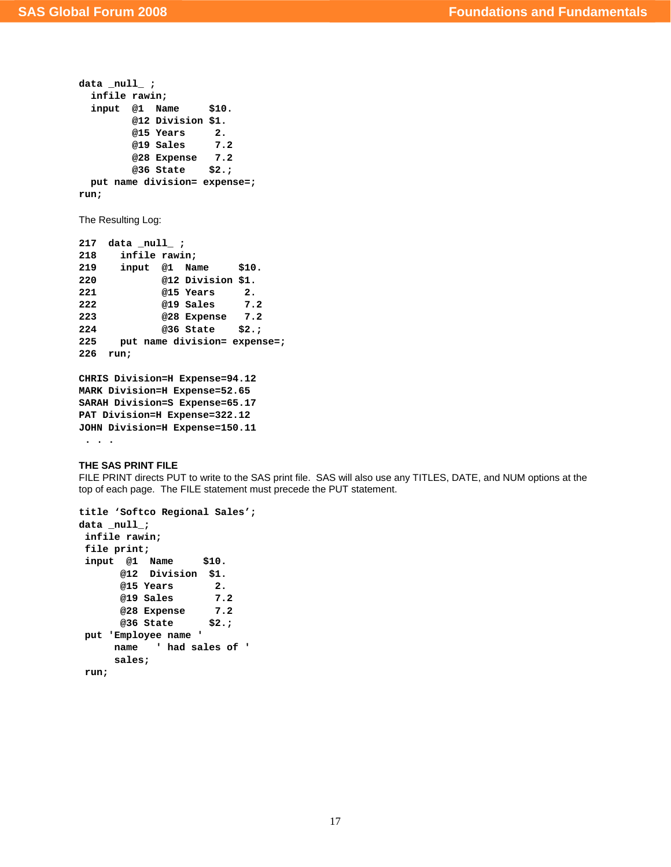```
data _null_ ; 
  infile rawin; 
  input @1 Name $10. 
        @12 Division $1. 
        @15 Years 2. 
        @19 Sales 7.2 
        @28 Expense 7.2 
        @36 State $2.; 
  put name division= expense=; 
run; 
The Resulting Log: 
217 data _null_ ; 
218 infile rawin; 
219 input @1 Name $10. 
220 @12 Division $1. 
221 @15 Years 2. 
222 @19 Sales 7.2 
223 @28 Expense 7.2 
224 @36 State $2.;
```

```
226 run; 
CHRIS Division=H Expense=94.12 
MARK Division=H Expense=52.65 
SARAH Division=S Expense=65.17 
PAT Division=H Expense=322.12 
JOHN Division=H Expense=150.11
```
**225 put name division= expense=;** 

```
 . . .
```
#### **THE SAS PRINT FILE**

FILE PRINT directs PUT to write to the SAS print file. SAS will also use any TITLES, DATE, and NUM options at the top of each page. The FILE statement must precede the PUT statement.

```
title 'Softco Regional Sales'; 
data _null_; 
 infile rawin; 
 file print; 
 input @1 Name $10. 
       @12 Division $1. 
       @15 Years 2. 
       @19 Sales 7.2 
       @28 Expense 7.2 
       @36 State $2.; 
 put 'Employee name ' 
      name ' had sales of ' 
       sales; 
 run;
```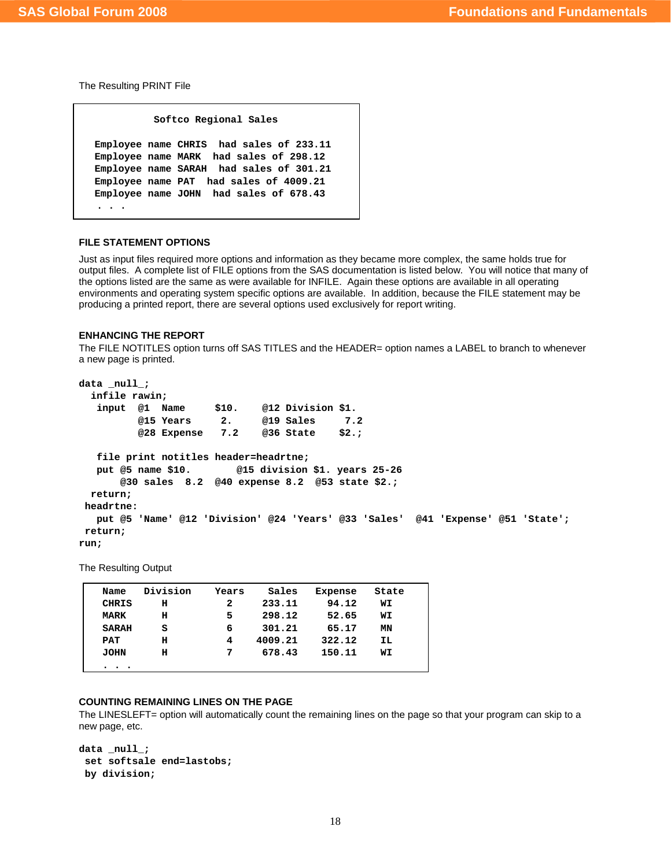The Resulting PRINT File

```
 Softco Regional Sales 
Employee name CHRIS had sales of 233.11 
Employee name MARK had sales of 298.12 
Employee name SARAH had sales of 301.21 
Employee name PAT had sales of 4009.21 
Employee name JOHN had sales of 678.43 
 . . .
```
## **FILE STATEMENT OPTIONS**

Just as input files required more options and information as they became more complex, the same holds true for output files. A complete list of FILE options from the SAS documentation is listed below. You will notice that many of the options listed are the same as were available for INFILE. Again these options are available in all operating environments and operating system specific options are available. In addition, because the FILE statement may be producing a printed report, there are several options used exclusively for report writing.

## **ENHANCING THE REPORT**

The FILE NOTITLES option turns off SAS TITLES and the HEADER= option names a LABEL to branch to whenever a new page is printed.

```
data _null_;
```

```
 infile rawin; 
   input @1 Name $10. @12 Division $1. 
          @15 Years 2. @19 Sales 7.2 
          @28 Expense 7.2 @36 State $2.; 
   file print notitles header=headrtne; 
   put @5 name $10. @15 division $1. years 25-26 
       @30 sales 8.2 @40 expense 8.2 @53 state $2.; 
  return; 
 headrtne: 
   put @5 'Name' @12 'Division' @24 'Years' @33 'Sales' @41 'Expense' @51 'State'; 
 return; 
run;
```
The Resulting Output

| Name                   | Division | Years | Sales   | Expense | State |  |
|------------------------|----------|-------|---------|---------|-------|--|
| <b>CHRIS</b>           | н        | 2     | 233.11  | 94.12   | WI    |  |
| <b>MARK</b>            | н        | 5     | 298.12  | 52.65   | WI    |  |
| <b>SARAH</b>           | s        | 6     | 301.21  | 65.17   | ΜN    |  |
| PAT                    | н        | 4     | 4009.21 | 322.12  | IL    |  |
| <b>JOHN</b>            | н        | 7     | 678.43  | 150.11  | WI    |  |
| $\bullet$<br>$\bullet$ |          |       |         |         |       |  |

## **COUNTING REMAINING LINES ON THE PAGE**

The LINESLEFT= option will automatically count the remaining lines on the page so that your program can skip to a new page, etc.

```
data null;
 set softsale end=lastobs; 
 by division;
```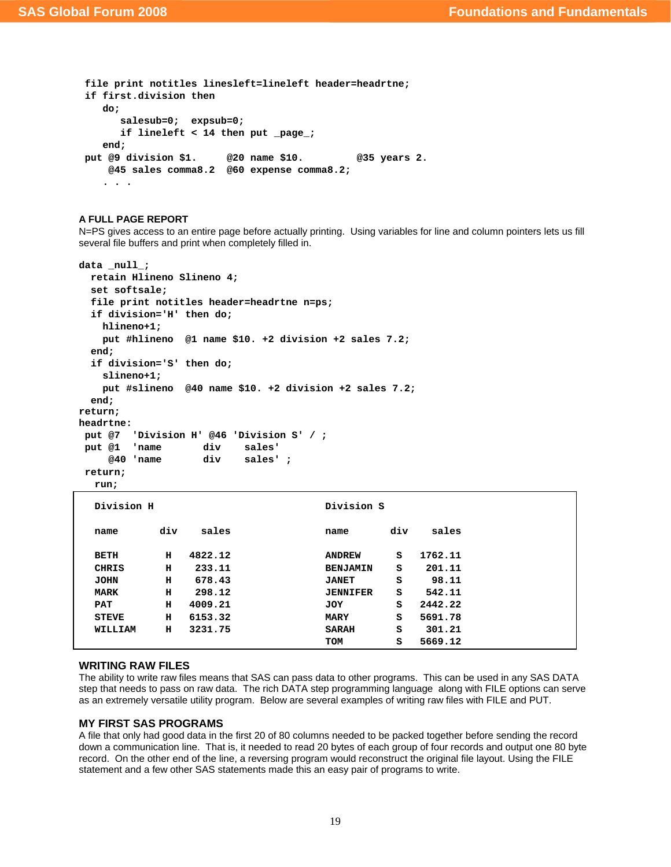```
 file print notitles linesleft=lineleft header=headrtne; 
 if first.division then 
    do; 
       salesub=0; expsub=0; 
       if lineleft < 14 then put _page_; 
    end; 
 put @9 division $1. @20 name $10. @35 years 2. 
     @45 sales comma8.2 @60 expense comma8.2; 
    . . .
```
#### **A FULL PAGE REPORT**

N=PS gives access to an entire page before actually printing. Using variables for line and column pointers lets us fill several file buffers and print when completely filled in.

```
data _null_; 
   retain Hlineno Slineno 4; 
   set softsale; 
   file print notitles header=headrtne n=ps; 
   if division='H' then do; 
    hlineno+1; 
    put #hlineno @1 name $10. +2 division +2 sales 7.2; 
   end; 
   if division='S' then do; 
     slineno+1; 
     put #slineno @40 name $10. +2 division +2 sales 7.2; 
   end; 
return; 
headrtne: 
 put @7 'Division H' @46 'Division S' / ; 
 put @1 'name div sales' 
      @40 'name div sales' ; 
 return; 
  run;
```

| Division H   |     |         | Division S      |     |         |
|--------------|-----|---------|-----------------|-----|---------|
| name         | div | sales   | name            | div | sales   |
| BETH         | н   | 4822.12 | <b>ANDREW</b>   | s   | 1762.11 |
| <b>CHRIS</b> | н   | 233.11  | <b>BENJAMIN</b> | s   | 201.11  |
| <b>JOHN</b>  | н   | 678.43  | <b>JANET</b>    | s   | 98.11   |
| <b>MARK</b>  | н   | 298.12  | <b>JENNIFER</b> | s   | 542.11  |
| <b>PAT</b>   | н   | 4009.21 | JOY             | s   | 2442.22 |
| <b>STEVE</b> | н   | 6153.32 | <b>MARY</b>     | s   | 5691.78 |
| WILLIAM      | н   | 3231.75 | <b>SARAH</b>    | s   | 301.21  |
|              |     |         | TOM             | s   | 5669.12 |

#### **WRITING RAW FILES**

The ability to write raw files means that SAS can pass data to other programs. This can be used in any SAS DATA step that needs to pass on raw data. The rich DATA step programming language along with FILE options can serve as an extremely versatile utility program. Below are several examples of writing raw files with FILE and PUT.

### **MY FIRST SAS PROGRAMS**

A file that only had good data in the first 20 of 80 columns needed to be packed together before sending the record down a communication line. That is, it needed to read 20 bytes of each group of four records and output one 80 byte record. On the other end of the line, a reversing program would reconstruct the original file layout. Using the FILE statement and a few other SAS statements made this an easy pair of programs to write.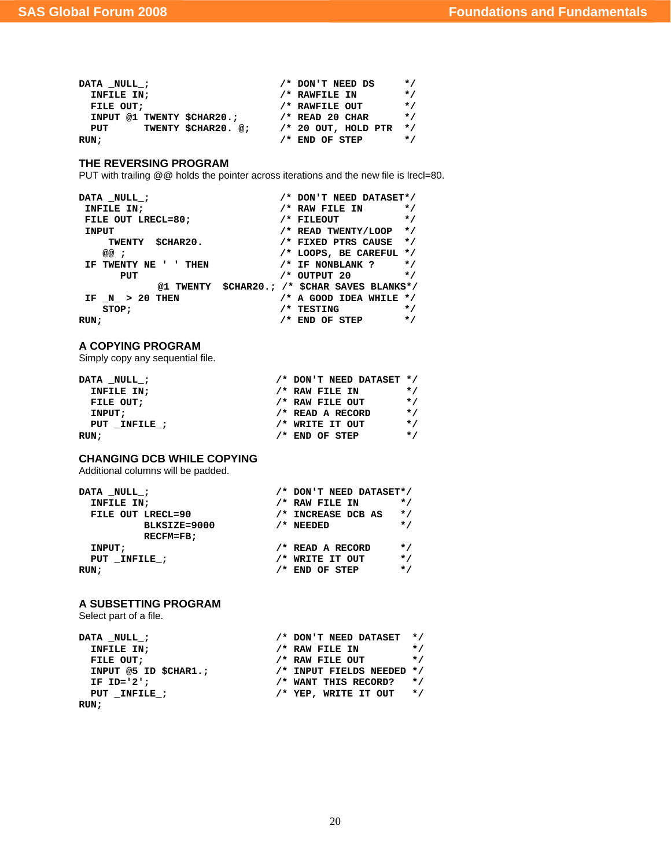| DATA NULL ;               | /* DON'T NEED DS      | $\star$ / |
|---------------------------|-----------------------|-----------|
| INFILE IN;                | /* RAWFILE IN         | $\star$ / |
| FILE OUT:                 | /* RAWFILE OUT        | $\star$ / |
| INPUT @1 TWENTY SCHAR20.: | $/*$ READ 20 CHAR     | $\star$ / |
| TWENTY SCHAR20. @:<br>PUT | $/* 20$ OUT, HOLD PTR | $\star$ / |
| RUN;                      | $/*$ END OF STEP      | $\star$ / |

## **THE REVERSING PROGRAM**

PUT with trailing @@ holds the pointer across iterations and the new file is lrecl=80.

```
DATA _NULL_; <br>
INFILE IN; <br>
/* RAW FILE IN */
                             * RAW FILE IN */<br>/* FILEOUT */
FILE OUT LRECL=80;
INPUT /* READ TWENTY/LOOP */<br>TWENTY $CHAR20. /* FIXED PTRS CAUSE */
 TWENTY $CHAR20. /* FIXED PTRS CAUSE */ 
 @@ ; /* LOOPS, BE CAREFUL */ 
IF TWENTY NE ' ' THEN \hspace{1.5cm}/* IF NONBLANK ? */ <br>PUT /* OUTPUT 20 */
                              PUT /* OUTPUT 20 */ 
            @1 TWENTY $CHAR20.; /* $CHAR SAVES BLANKS*/ 
IF \text{N} > 20 THEN /* A GOOD IDEA WHILE */<br>
STOP: /* TESTING */
 STOP; /* TESTING */ 
RUN; /* END OF STEP */
```
## **A COPYING PROGRAM**

Simply copy any sequential file.

| DATA NULL ;  | /* DON'T NEED DATASET */ |           |
|--------------|--------------------------|-----------|
| INFILE IN;   | $/$ * RAW FILE IN        | $\star$ / |
| FILE OUT:    | /* RAW FILE OUT          | $\star$ / |
| INPUT;       | /* READ A RECORD         | $\star$ / |
| PUT INFILE : | /* WRITE IT OUT          | $\star$ / |
| RUN;         | $/*$ END OF STEP         | $\star$ / |

## **CHANGING DCB WHILE COPYING**

Additional columns will be padded.

| DATA NULL ;       | /* DON'T NEED DATASET*/ |           |
|-------------------|-------------------------|-----------|
| INFILE IN;        | $/$ * RAW FILE IN       | $\star$ / |
| FILE OUT LRECL=90 | /* INCREASE DCB AS      | $\star$ / |
| BLKSIZE=9000      | $/$ * NEEDED            | $\star$ / |
| RECFM=FB;         |                         |           |
| INPUT;            | /* READ A RECORD        | $\star$ / |
| PUT INFILE ;      | /* WRITE IT OUT         | $\star$ / |
| RUN:              | $/*$ END OF STEP        | $\star$ / |

## **A SUBSETTING PROGRAM**

Select part of a file.

| DATA NULL ;           | $/*$ DON'T NEED DATASET $*/$  |           |
|-----------------------|-------------------------------|-----------|
| INFILE IN;            | $/*$ RAW FILE IN              | $\star$ / |
| FILE OUT:             | /* RAW FILE OUT               | $\star$ / |
| INPUT @5 ID \$CHAR1.; | $/*$ INPUT FIELDS NEEDED $*/$ |           |
| IF ID= $'2';$         | /* WANT THIS RECORD?          | $\star$ / |
| PUT INFILE :          | /* YEP, WRITE IT OUT          | $\star$ / |
| RUN ;                 |                               |           |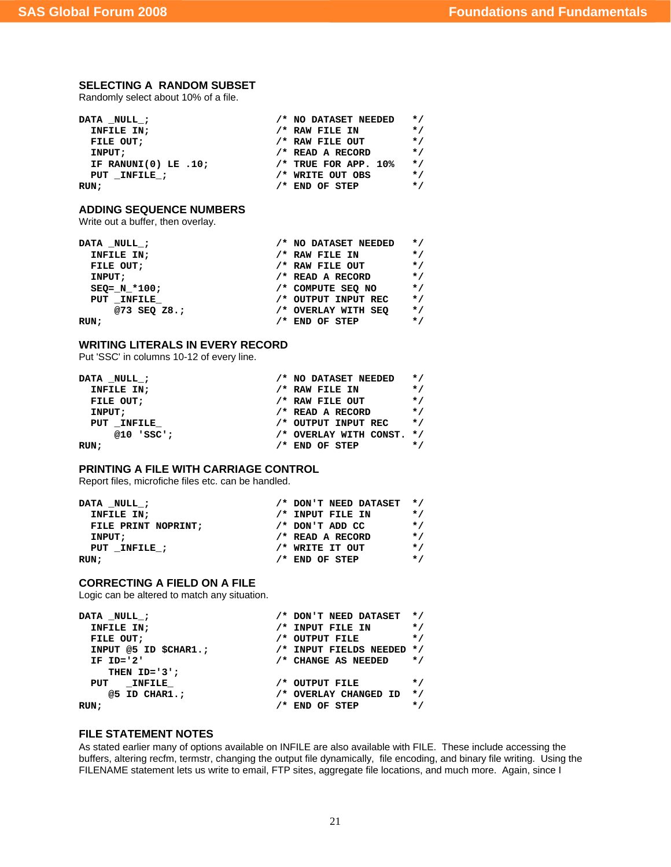## **SELECTING A RANDOM SUBSET**

Randomly select about 10% of a file.

| DATA NULL;              | /* NO DATASET NEEDED   | $\star$ / |
|-------------------------|------------------------|-----------|
| INFILE IN;              | $/$ * RAW FILE IN      | $\star$ / |
| FILE OUT:               | /* RAW FILE OUT        | $\star$ / |
| INPUT;                  | $/*$ READ A RECORD     | $\star$ / |
| IF RANUNI $(0)$ LE .10; | $/*$ TRUE FOR APP. 10% | $\star$ / |
| PUT INFILE ;            | /* WRITE OUT OBS       | $\star$ / |
| RUN :                   | $/*$ END OF STEP       | $\star$ / |

## **ADDING SEQUENCE NUMBERS**

Write out a buffer, then overlay.

| DATA NULL;       | /* NO DATASET NEEDED | $\star$ / |
|------------------|----------------------|-----------|
| INFILE IN;       | $/$ * RAW FILE IN    | $\star$ / |
| FILE OUT;        | /* RAW FILE OUT      | $\star$ / |
| INPUT;           | /* READ A RECORD     | $\star$ / |
| $SEQ = N * 100;$ | /* COMPUTE SEO NO    | $\star$ / |
| PUT INFILE       | /* OUTPUT INPUT REC  | $\star$ / |
| @73 SEQ Z8.;     | /* OVERLAY WITH SEO  | $\star$ / |
| RUN ;            | $/*$ END OF STEP     | $\star$ / |

### **WRITING LITERALS IN EVERY RECORD**

Put 'SSC' in columns 10-12 of every line.

| DATA NULL ;  | /* NO DATASET NEEDED      | $\star$ / |
|--------------|---------------------------|-----------|
| INFILE IN;   | /* RAW FILE IN            | $\star$ / |
| FILE OUT;    | $/*$ RAW FILE OUT         | $\star$ / |
| INPUT;       | $/*$ READ A RECORD        | $\star$ / |
| PUT INFILE   | /* OUTPUT INPUT REC       | $\star$ / |
| $@10$ 'SSC'; | /* OVERLAY WITH CONST. */ |           |
| RUN ;        | $/*$ END OF STEP          | $\star$ / |

## **PRINTING A FILE WITH CARRIAGE CONTROL**

Report files, microfiche files etc. can be handled.

| DATA NULL ;         | $/*$ DON'T NEED DATASET $*/$ |           |
|---------------------|------------------------------|-----------|
| INFILE IN;          | $/*$ INPUT FILE IN           | $\star$ / |
| FILE PRINT NOPRINT: | $/*$ DON'T ADD CC            | $\star$ / |
| INPUT;              | $/*$ READ A RECORD           | $\star$ / |
| PUT INFILE :        | /* WRITE IT OUT              | $\star$ / |
| RUN;                | $/*$ END OF STEP             | $\star$ / |

## **CORRECTING A FIELD ON A FILE**

Logic can be altered to match any situation.

| /* DON'T NEED DATASET */  |           |
|---------------------------|-----------|
| /* INPUT FILE IN          | $\star$ / |
| /* OUTPUT FILE            | $\star$ / |
| /* INPUT FIELDS NEEDED */ |           |
| /* CHANGE AS NEEDED       | $\star$ / |
|                           |           |
| /* OUTPUT FILE            | $\star$ / |
| /* OVERLAY CHANGED ID     | $\star$ / |
| /* END OF STEP            | $\star$ / |
|                           |           |

## **FILE STATEMENT NOTES**

As stated earlier many of options available on INFILE are also available with FILE. These include accessing the buffers, altering recfm, termstr, changing the output file dynamically, file encoding, and binary file writing. Using the FILENAME statement lets us write to email, FTP sites, aggregate file locations, and much more. Again, since I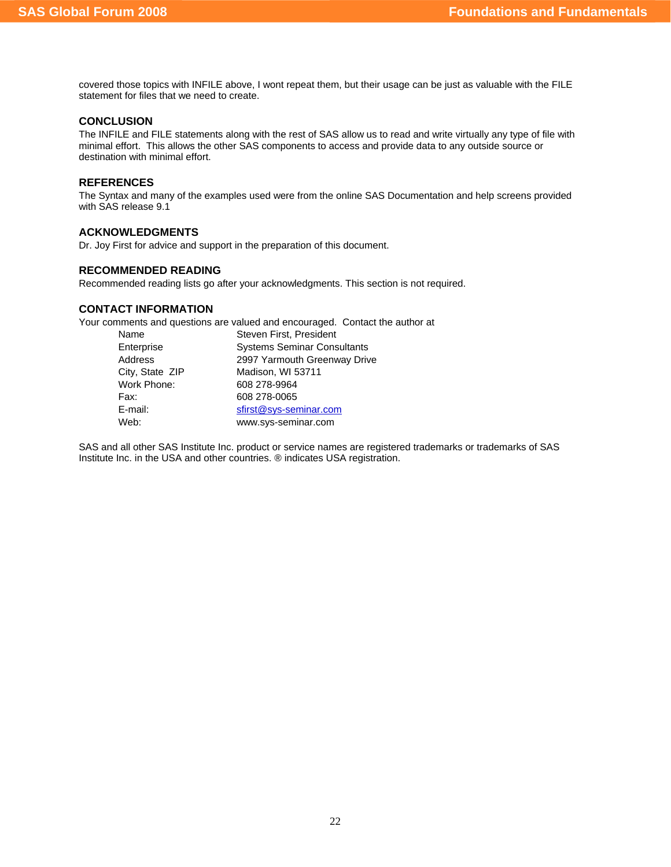covered those topics with INFILE above, I wont repeat them, but their usage can be just as valuable with the FILE statement for files that we need to create.

## **CONCLUSION**

The INFILE and FILE statements along with the rest of SAS allow us to read and write virtually any type of file with minimal effort. This allows the other SAS components to access and provide data to any outside source or destination with minimal effort.

### **REFERENCES**

The Syntax and many of the examples used were from the online SAS Documentation and help screens provided with SAS release 9.1

## **ACKNOWLEDGMENTS**

Dr. Joy First for advice and support in the preparation of this document.

## **RECOMMENDED READING**

Recommended reading lists go after your acknowledgments. This section is not required.

## **CONTACT INFORMATION**

Your comments and questions are valued and encouraged. Contact the author at

| Name            | Steven First, President            |
|-----------------|------------------------------------|
| Enterprise      | <b>Systems Seminar Consultants</b> |
| Address         | 2997 Yarmouth Greenway Drive       |
| City, State ZIP | Madison, WI 53711                  |
| Work Phone:     | 608 278-9964                       |
| Fax:            | 608 278-0065                       |
| E-mail:         | sfirst@sys-seminar.com             |
| Web:            | www.sys-seminar.com                |

SAS and all other SAS Institute Inc. product or service names are registered trademarks or trademarks of SAS Institute Inc. in the USA and other countries. ® indicates USA registration.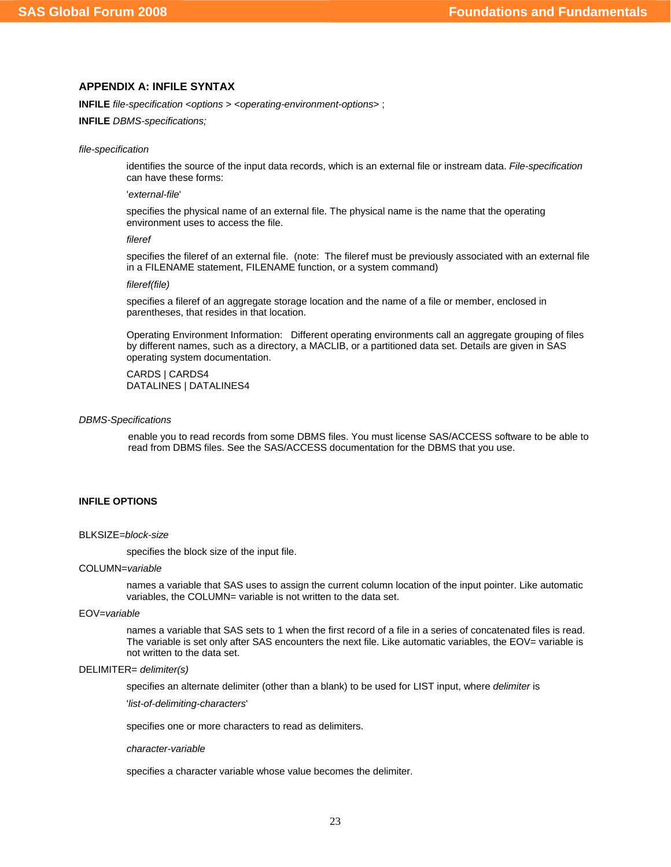## **APPENDIX A: INFILE SYNTAX**

**INFILE** *file-specification* <*options* > <*operating-environment-options*> ;

**INFILE** *DBMS-specifications;* 

#### *file-specification*

identifies the source of the input data records, which is an external file or instream data. *File-specification* can have these forms:

#### '*external-file*'

specifies the physical name of an external file. The physical name is the name that the operating environment uses to access the file.

#### *fileref*

specifies the fileref of an external file. (note: The fileref must be previously associated with an external file in a FILENAME statement, FILENAME function, or a system command)

#### *fileref(file)*

specifies a fileref of an aggregate storage location and the name of a file or member, enclosed in parentheses, that resides in that location.

Operating Environment Information: Different operating environments call an aggregate grouping of files by different names, such as a directory, a MACLIB, or a partitioned data set. Details are given in SAS operating system documentation.

## CARDS | CARDS4 DATALINES | DATALINES4

#### *DBMS-Specifications*

enable you to read records from some DBMS files. You must license SAS/ACCESS software to be able to read from DBMS files. See the SAS/ACCESS documentation for the DBMS that you use.

### **INFILE OPTIONS**

#### BLKSIZE=*block-size*

specifies the block size of the input file.

#### COLUMN=*variable*

names a variable that SAS uses to assign the current column location of the input pointer. Like automatic variables, the COLUMN= variable is not written to the data set.

#### EOV=*variable*

names a variable that SAS sets to 1 when the first record of a file in a series of concatenated files is read. The variable is set only after SAS encounters the next file. Like automatic variables, the EOV= variable is not written to the data set.

#### DELIMITER= *delimiter(s)*

specifies an alternate delimiter (other than a blank) to be used for LIST input, where *delimiter* is

'*list-of-delimiting-characters*'

specifies one or more characters to read as delimiters.

#### *character-variable*

specifies a character variable whose value becomes the delimiter.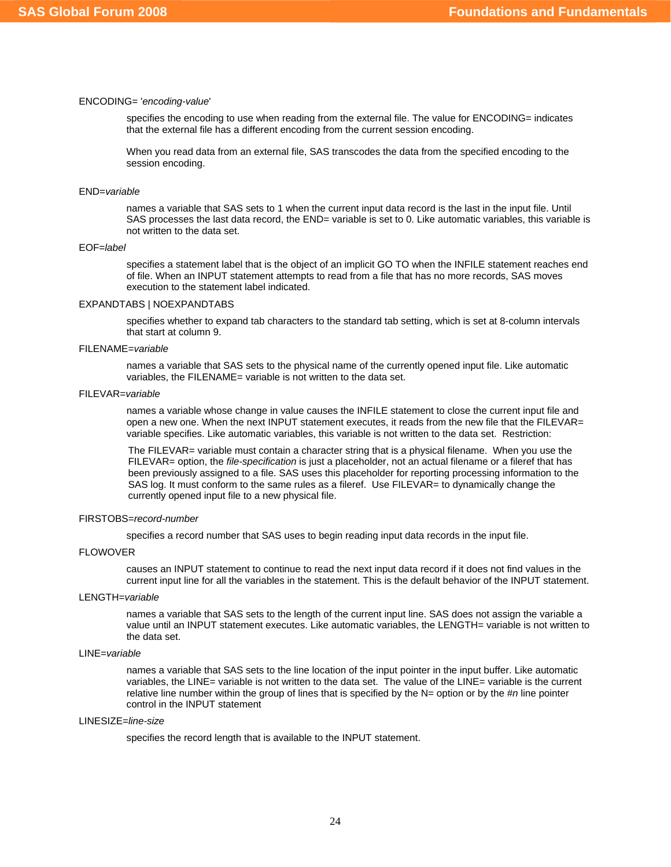#### ENCODING= '*encoding-value*'

specifies the encoding to use when reading from the external file. The value for ENCODING= indicates that the external file has a different encoding from the current session encoding.

When you read data from an external file, SAS transcodes the data from the specified encoding to the session encoding.

#### END=*variable*

names a variable that SAS sets to 1 when the current input data record is the last in the input file. Until SAS processes the last data record, the END= variable is set to 0. Like automatic variables, this variable is not written to the data set.

### EOF=*label*

specifies a statement label that is the object of an implicit GO TO when the INFILE statement reaches end of file. When an INPUT statement attempts to read from a file that has no more records, SAS moves execution to the statement label indicated.

#### EXPANDTABS | NOEXPANDTABS

specifies whether to expand tab characters to the standard tab setting, which is set at 8-column intervals that start at column 9.

## FILENAME=*variable*

names a variable that SAS sets to the physical name of the currently opened input file. Like automatic variables, the FILENAME= variable is not written to the data set.

#### FILEVAR=*variable*

names a variable whose change in value causes the INFILE statement to close the current input file and open a new one. When the next INPUT statement executes, it reads from the new file that the FILEVAR= variable specifies. Like automatic variables, this variable is not written to the data set. Restriction:

The FILEVAR= variable must contain a character string that is a physical filename. When you use the FILEVAR= option, the *file-specification* is just a placeholder, not an actual filename or a fileref that has been previously assigned to a file. SAS uses this placeholder for reporting processing information to the SAS log. It must conform to the same rules as a fileref. Use FILEVAR= to dynamically change the currently opened input file to a new physical file.

## FIRSTOBS=*record-number*

specifies a record number that SAS uses to begin reading input data records in the input file.

#### FLOWOVER

causes an INPUT statement to continue to read the next input data record if it does not find values in the current input line for all the variables in the statement. This is the default behavior of the INPUT statement.

### LENGTH=*variable*

names a variable that SAS sets to the length of the current input line. SAS does not assign the variable a value until an INPUT statement executes. Like automatic variables, the LENGTH= variable is not written to the data set.

### LINE=*variable*

names a variable that SAS sets to the line location of the input pointer in the input buffer. Like automatic variables, the LINE= variable is not written to the data set. The value of the LINE= variable is the current relative line number within the group of lines that is specified by the N= option or by the #*n* line pointer control in the INPUT statement

## LINESIZE=*line-size*

specifies the record length that is available to the INPUT statement.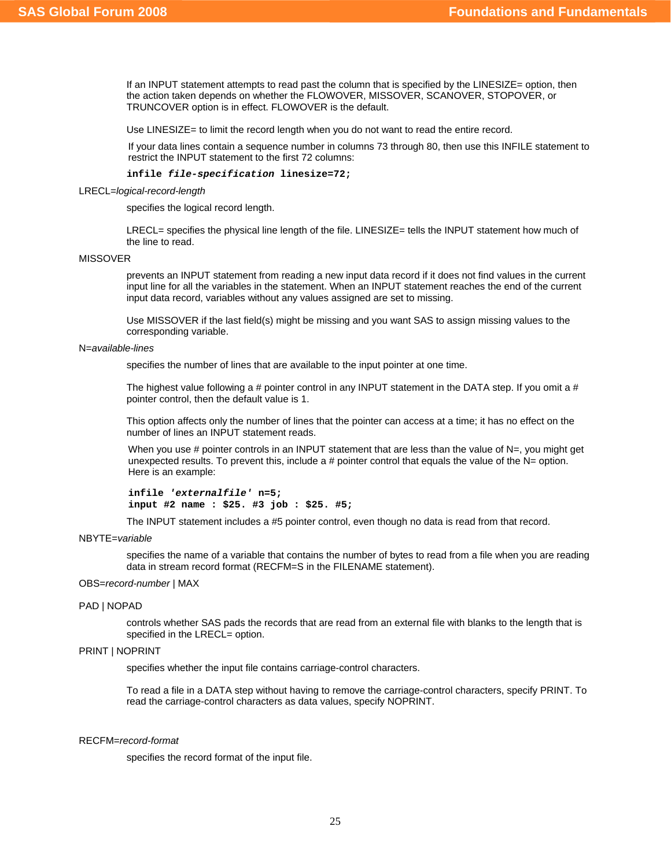If an INPUT statement attempts to read past the column that is specified by the LINESIZE= option, then the action taken depends on whether the FLOWOVER, MISSOVER, SCANOVER, STOPOVER, or TRUNCOVER option is in effect. FLOWOVER is the default.

Use LINESIZE= to limit the record length when you do not want to read the entire record.

If your data lines contain a sequence number in columns 73 through 80, then use this INFILE statement to restrict the INPUT statement to the first 72 columns:

#### **infile** *file-specification* **linesize=72;**

LRECL=*logical-record-length*

specifies the logical record length.

LRECL= specifies the physical line length of the file. LINESIZE= tells the INPUT statement how much of the line to read.

### MISSOVER

prevents an INPUT statement from reading a new input data record if it does not find values in the current input line for all the variables in the statement. When an INPUT statement reaches the end of the current input data record, variables without any values assigned are set to missing.

Use MISSOVER if the last field(s) might be missing and you want SAS to assign missing values to the corresponding variable.

#### N=*available-lines*

specifies the number of lines that are available to the input pointer at one time.

The highest value following a # pointer control in any INPUT statement in the DATA step. If you omit a # pointer control, then the default value is 1.

This option affects only the number of lines that the pointer can access at a time; it has no effect on the number of lines an INPUT statement reads.

When you use  $#$  pointer controls in an INPUT statement that are less than the value of  $N=$ , you might get unexpected results. To prevent this, include a  $#$  pointer control that equals the value of the  $N=$  option. Here is an example:

**infile** *'externalfile'* **n=5; input #2 name : \$25. #3 job : \$25. #5;** 

The INPUT statement includes a #5 pointer control, even though no data is read from that record.

#### NBYTE=*variable*

specifies the name of a variable that contains the number of bytes to read from a file when you are reading data in stream record format (RECFM=S in the FILENAME statement).

### OBS=*record-number* | MAX

#### PAD | NOPAD

controls whether SAS pads the records that are read from an external file with blanks to the length that is specified in the LRECL= option.

## PRINT | NOPRINT

specifies whether the input file contains carriage-control characters.

To read a file in a DATA step without having to remove the carriage-control characters, specify PRINT. To read the carriage-control characters as data values, specify NOPRINT.

## RECFM=*record-format*

specifies the record format of the input file.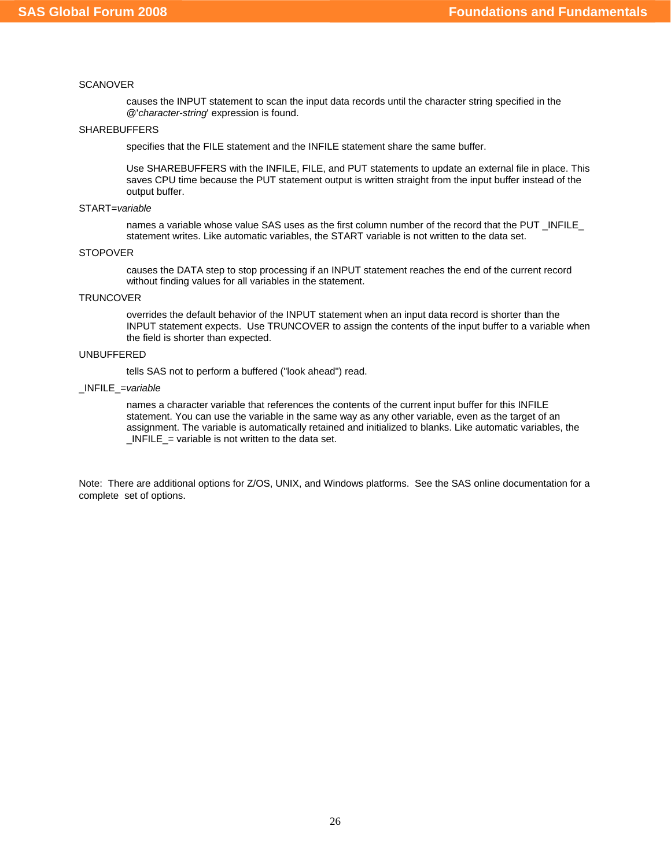### **SCANOVER**

causes the INPUT statement to scan the input data records until the character string specified in the @'*character-string*' expression is found.

### **SHAREBUFFERS**

specifies that the FILE statement and the INFILE statement share the same buffer.

Use SHAREBUFFERS with the INFILE, FILE, and PUT statements to update an external file in place. This saves CPU time because the PUT statement output is written straight from the input buffer instead of the output buffer.

#### START=*variable*

names a variable whose value SAS uses as the first column number of the record that the PUT \_INFILE\_ statement writes. Like automatic variables, the START variable is not written to the data set.

#### STOPOVER

causes the DATA step to stop processing if an INPUT statement reaches the end of the current record without finding values for all variables in the statement.

#### **TRUNCOVER**

overrides the default behavior of the INPUT statement when an input data record is shorter than the INPUT statement expects. Use TRUNCOVER to assign the contents of the input buffer to a variable when the field is shorter than expected.

## UNBUFFERED

tells SAS not to perform a buffered ("look ahead") read.

## \_INFILE\_=*variable*

names a character variable that references the contents of the current input buffer for this INFILE statement. You can use the variable in the same way as any other variable, even as the target of an assignment. The variable is automatically retained and initialized to blanks. Like automatic variables, the  $INFILE$  = variable is not written to the data set.

Note: There are additional options for Z/OS, UNIX, and Windows platforms. See the SAS online documentation for a complete set of options.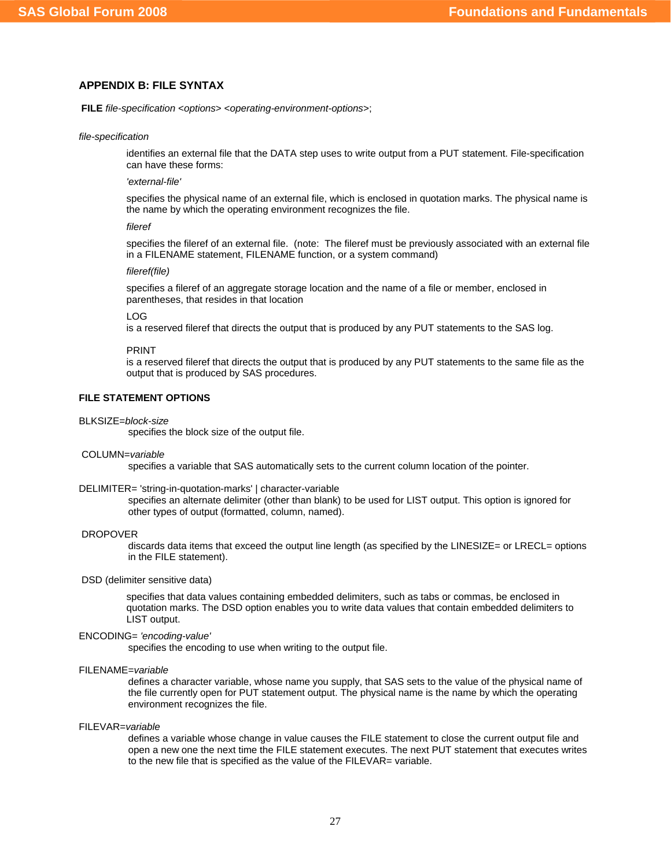## **APPENDIX B: FILE SYNTAX**

**FILE** *file-specification* <*options*> <*operating-environment-options*>;

*file-specification* 

identifies an external file that the DATA step uses to write output from a PUT statement. File-specification can have these forms:

*'external-file'* 

specifies the physical name of an external file, which is enclosed in quotation marks. The physical name is the name by which the operating environment recognizes the file.

*fileref* 

specifies the fileref of an external file. (note: The fileref must be previously associated with an external file in a FILENAME statement, FILENAME function, or a system command)

#### *fileref(file)*

specifies a fileref of an aggregate storage location and the name of a file or member, enclosed in parentheses, that resides in that location

#### LOG

is a reserved fileref that directs the output that is produced by any PUT statements to the SAS log.

#### PRINT

is a reserved fileref that directs the output that is produced by any PUT statements to the same file as the output that is produced by SAS procedures.

## **FILE STATEMENT OPTIONS**

#### BLKSIZE=*block-size*

specifies the block size of the output file.

#### COLUMN=*variable*

specifies a variable that SAS automatically sets to the current column location of the pointer.

#### DELIMITER= 'string-in-quotation-marks' | character-variable

specifies an alternate delimiter (other than blank) to be used for LIST output. This option is ignored for other types of output (formatted, column, named).

#### DROPOVER

discards data items that exceed the output line length (as specified by the LINESIZE= or LRECL= options in the FILE statement).

### DSD (delimiter sensitive data)

specifies that data values containing embedded delimiters, such as tabs or commas, be enclosed in quotation marks. The DSD option enables you to write data values that contain embedded delimiters to LIST output.

#### ENCODING= *'encoding-value'*

specifies the encoding to use when writing to the output file.

#### FILENAME=*variable*

defines a character variable, whose name you supply, that SAS sets to the value of the physical name of the file currently open for PUT statement output. The physical name is the name by which the operating environment recognizes the file.

#### FILEVAR=*variable*

defines a variable whose change in value causes the FILE statement to close the current output file and open a new one the next time the FILE statement executes. The next PUT statement that executes writes to the new file that is specified as the value of the FILEVAR= variable.